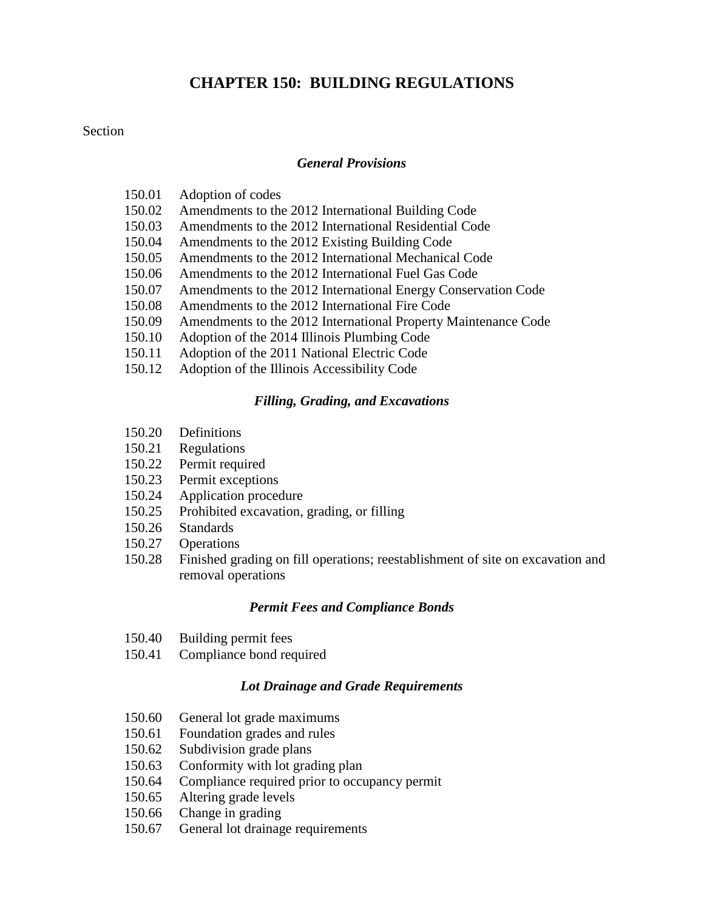# **CHAPTER 150: BUILDING REGULATIONS**

#### **Section**

#### *[General Provisions](#page-2-0)*

- 150.01 Adoption of codes
- 150.02 Amendments to the 2012 International Building Code
- 150.03 Amendments to the 2012 International Residential Code<br>150.04 Amendments to the 2012 Existing Building Code
- Amendments to the 2012 Existing Building Code
- 150.05 Amendments to the 2012 International Mechanical Code
- 150.06 Amendments to the 2012 International Fuel Gas Code
- 150.07 Amendments to the 2012 International Energy Conservation Code
- 150.08 Amendments to the 2012 International Fire Code
- 150.09 Amendments to the 2012 International Property Maintenance Code
- 150.10 Adoption of the 2014 Illinois Plumbing Code
- 150.11 Adoption of the 2011 National Electric Code
- 150.12 Adoption of the Illinois Accessibility Code

#### *[Filling, Grading, and Excavations](#page-25-0)*

- 150.20 Definitions
- 150.21 Regulations
- 150.22 Permit required
- 150.23 Permit exceptions
- 150.24 Application procedure
- 150.25 Prohibited excavation, grading, or filling
- 150.26 Standards
- 150.27 Operations
- 150.28 Finished grading on fill operations; reestablishment of site on excavation and removal operations

#### *[Permit Fees and Compliance Bonds](#page-34-0)*

- 150.40 Building permit fees
- 150.41 Compliance bond required

#### *[Lot Drainage and Grade Requirements](#page-36-0)*

- 150.60 General lot grade maximums
- 150.61 Foundation grades and rules
- 150.62 Subdivision grade plans
- 150.63 Conformity with lot grading plan
- 150.64 Compliance required prior to occupancy permit
- 150.65 Altering grade levels
- 150.66 Change in grading
- 150.67 General lot drainage requirements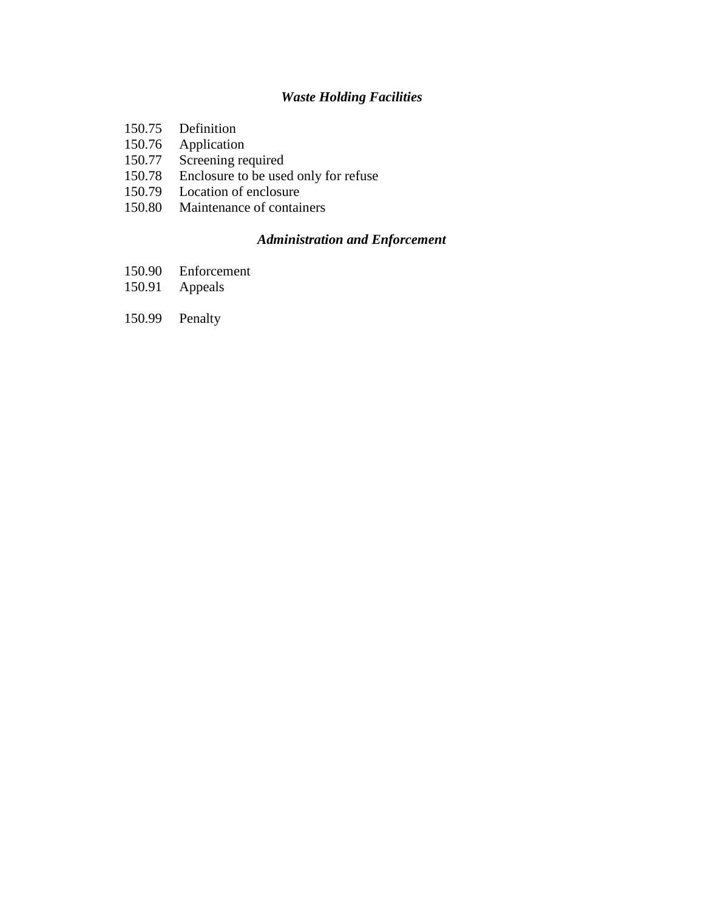# *[Waste Holding Facilities](#page-41-0)*

- 150.75 Definition
- 150.76 Application<br>150.77 Screening re
- 150.77 Screening required<br>150.78 Enclosure to be use
- 150.78 Enclosure to be used only for refuse<br>150.79 Location of enclosure
- Location of enclosure
- 150.80 Maintenance of containers

## *[Administration and Enforcement](#page-44-0)*

- 150.90 Enforcement
- 150.91 Appeals
- 150.99 Penalty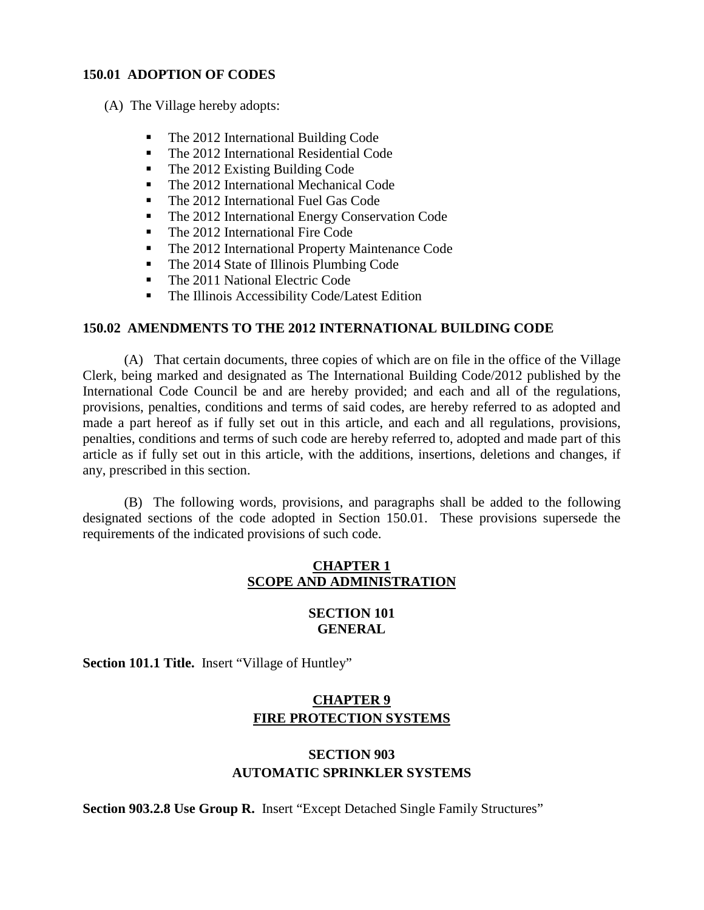#### <span id="page-2-0"></span>**150.01 ADOPTION OF CODES**

(A) The Village hereby adopts:

- The 2012 International Building Code
- The 2012 International Residential Code
- The 2012 Existing Building Code
- The 2012 International Mechanical Code
- The 2012 International Fuel Gas Code
- The 2012 International Energy Conservation Code
- The 2012 International Fire Code
- The 2012 International Property Maintenance Code
- The 2014 State of Illinois Plumbing Code
- The 2011 National Electric Code
- The Illinois Accessibility Code/Latest Edition

#### **150.02 AMENDMENTS TO THE 2012 INTERNATIONAL BUILDING CODE**

(A) That certain documents, three copies of which are on file in the office of the Village Clerk, being marked and designated as The International Building Code/2012 published by the International Code Council be and are hereby provided; and each and all of the regulations, provisions, penalties, conditions and terms of said codes, are hereby referred to as adopted and made a part hereof as if fully set out in this article, and each and all regulations, provisions, penalties, conditions and terms of such code are hereby referred to, adopted and made part of this article as if fully set out in this article, with the additions, insertions, deletions and changes, if any, prescribed in this section.

(B) The following words, provisions, and paragraphs shall be added to the following designated sections of the code adopted in Section 150.01. These provisions supersede the requirements of the indicated provisions of such code.

## **CHAPTER 1 SCOPE AND ADMINISTRATION**

#### **SECTION 101 GENERAL**

Section 101.1 Title. Insert "Village of Huntley"

## **CHAPTER 9 FIRE PROTECTION SYSTEMS**

## **SECTION 903 AUTOMATIC SPRINKLER SYSTEMS**

**Section 903.2.8 Use Group R.** Insert "Except Detached Single Family Structures"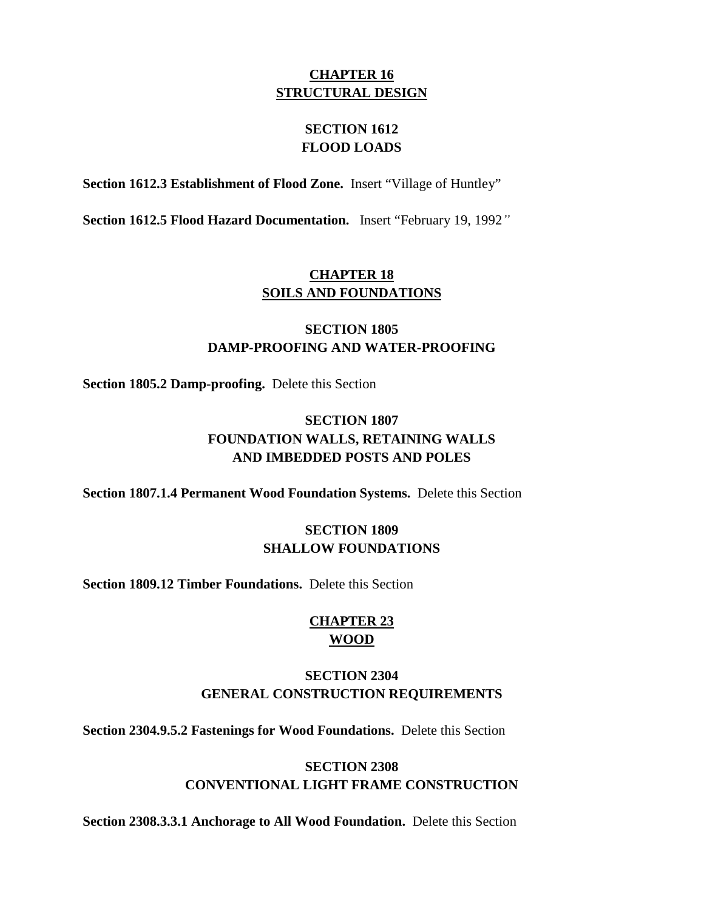## **CHAPTER 16 STRUCTURAL DESIGN**

## **SECTION 1612 FLOOD LOADS**

**Section 1612.3 Establishment of Flood Zone.** Insert "Village of Huntley"

**Section 1612.5 Flood Hazard Documentation.** Insert "February 19, 1992*"* 

# **CHAPTER 18 SOILS AND FOUNDATIONS**

# **SECTION 1805 DAMP-PROOFING AND WATER-PROOFING**

**Section 1805.2 Damp-proofing.** Delete this Section

# **SECTION 1807 FOUNDATION WALLS, RETAINING WALLS AND IMBEDDED POSTS AND POLES**

**Section 1807.1.4 Permanent Wood Foundation Systems.** Delete this Section

## **SECTION 1809 SHALLOW FOUNDATIONS**

**Section 1809.12 Timber Foundations.** Delete this Section

# **CHAPTER 23 WOOD**

## **SECTION 2304 GENERAL CONSTRUCTION REQUIREMENTS**

**Section 2304.9.5.2 Fastenings for Wood Foundations.** Delete this Section

## **SECTION 2308 CONVENTIONAL LIGHT FRAME CONSTRUCTION**

**Section 2308.3.3.1 Anchorage to All Wood Foundation.** Delete this Section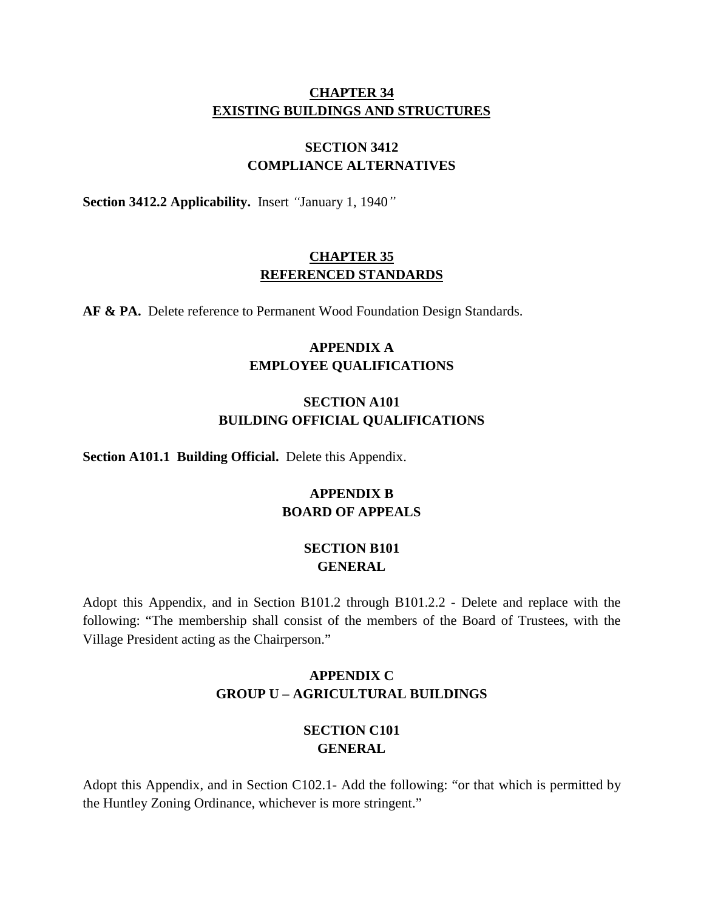## **CHAPTER 34 EXISTING BUILDINGS AND STRUCTURES**

# **SECTION 3412 COMPLIANCE ALTERNATIVES**

**Section 3412.2 Applicability.** Insert *"*January 1, 1940*"*

## **CHAPTER 35 REFERENCED STANDARDS**

AF & PA. Delete reference to Permanent Wood Foundation Design Standards.

# **APPENDIX A EMPLOYEE QUALIFICATIONS**

## **SECTION A101 BUILDING OFFICIAL QUALIFICATIONS**

**Section A101.1 Building Official.** Delete this Appendix.

# **APPENDIX B BOARD OF APPEALS**

## **SECTION B101 GENERAL**

Adopt this Appendix, and in Section B101.2 through B101.2.2 - Delete and replace with the following: "The membership shall consist of the members of the Board of Trustees, with the Village President acting as the Chairperson."

# **APPENDIX C GROUP U – AGRICULTURAL BUILDINGS**

## **SECTION C101 GENERAL**

Adopt this Appendix, and in Section C102.1- Add the following: "or that which is permitted by the Huntley Zoning Ordinance, whichever is more stringent."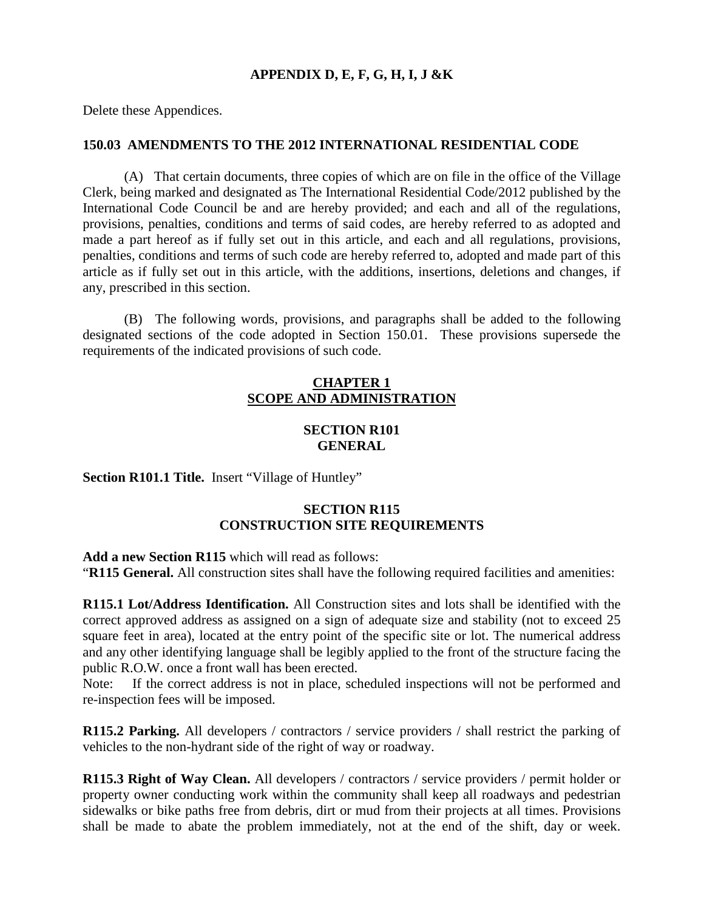## **APPENDIX D, E, F, G, H, I, J &K**

Delete these Appendices.

#### **150.03 AMENDMENTS TO THE 2012 INTERNATIONAL RESIDENTIAL CODE**

(A) That certain documents, three copies of which are on file in the office of the Village Clerk, being marked and designated as The International Residential Code/2012 published by the International Code Council be and are hereby provided; and each and all of the regulations, provisions, penalties, conditions and terms of said codes, are hereby referred to as adopted and made a part hereof as if fully set out in this article, and each and all regulations, provisions, penalties, conditions and terms of such code are hereby referred to, adopted and made part of this article as if fully set out in this article, with the additions, insertions, deletions and changes, if any, prescribed in this section.

(B) The following words, provisions, and paragraphs shall be added to the following designated sections of the code adopted in Section 150.01. These provisions supersede the requirements of the indicated provisions of such code.

## **CHAPTER 1 SCOPE AND ADMINISTRATION**

## **SECTION R101 GENERAL**

Section R101.1 Title. Insert "Village of Huntley"

## **SECTION R115 CONSTRUCTION SITE REQUIREMENTS**

**Add a new Section R115** which will read as follows: "**R115 General.** All construction sites shall have the following required facilities and amenities:

**R115.1 Lot/Address Identification.** All Construction sites and lots shall be identified with the correct approved address as assigned on a sign of adequate size and stability (not to exceed 25 square feet in area), located at the entry point of the specific site or lot. The numerical address and any other identifying language shall be legibly applied to the front of the structure facing the public R.O.W. once a front wall has been erected.

Note: If the correct address is not in place, scheduled inspections will not be performed and re-inspection fees will be imposed.

**R115.2 Parking.** All developers / contractors / service providers / shall restrict the parking of vehicles to the non-hydrant side of the right of way or roadway.

**R115.3 Right of Way Clean.** All developers / contractors / service providers / permit holder or property owner conducting work within the community shall keep all roadways and pedestrian sidewalks or bike paths free from debris, dirt or mud from their projects at all times. Provisions shall be made to abate the problem immediately, not at the end of the shift, day or week.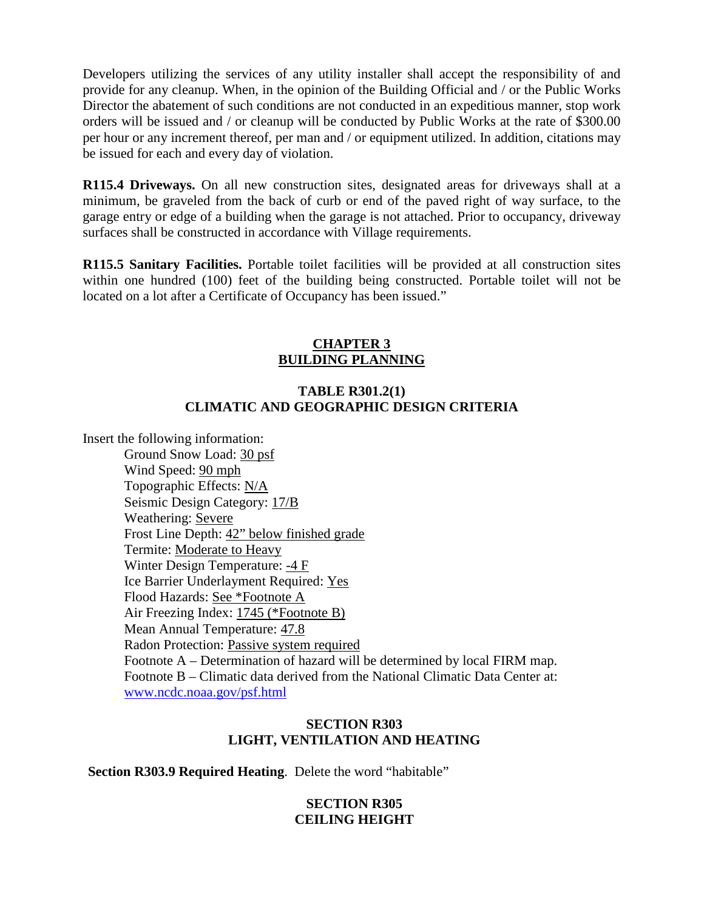Developers utilizing the services of any utility installer shall accept the responsibility of and provide for any cleanup. When, in the opinion of the Building Official and / or the Public Works Director the abatement of such conditions are not conducted in an expeditious manner, stop work orders will be issued and / or cleanup will be conducted by Public Works at the rate of \$300.00 per hour or any increment thereof, per man and / or equipment utilized. In addition, citations may be issued for each and every day of violation.

**R115.4 Driveways.** On all new construction sites, designated areas for driveways shall at a minimum, be graveled from the back of curb or end of the paved right of way surface, to the garage entry or edge of a building when the garage is not attached. Prior to occupancy, driveway surfaces shall be constructed in accordance with Village requirements.

**R115.5 Sanitary Facilities.** Portable toilet facilities will be provided at all construction sites within one hundred (100) feet of the building being constructed. Portable toilet will not be located on a lot after a Certificate of Occupancy has been issued."

## **CHAPTER 3 BUILDING PLANNING**

## **TABLE R301.2(1) CLIMATIC AND GEOGRAPHIC DESIGN CRITERIA**

Insert the following information:

 Ground Snow Load: 30 psf Wind Speed: 90 mph Topographic Effects: N/A Seismic Design Category: 17/B Weathering: Severe Frost Line Depth: 42" below finished grade Termite: Moderate to Heavy Winter Design Temperature: -4 F Ice Barrier Underlayment Required: Yes Flood Hazards: See \*Footnote A Air Freezing Index: 1745 (\*Footnote B) Mean Annual Temperature: 47.8 Radon Protection: Passive system required Footnote A – Determination of hazard will be determined by local FIRM map. Footnote B – Climatic data derived from the National Climatic Data Center at: [www.ncdc.noaa.gov/psf.html](http://www.ncdc.noaa.gov/psf.html)

### **SECTION R303 LIGHT, VENTILATION AND HEATING**

**Section R303.9 Required Heating**. Delete the word "habitable"

## **SECTION R305 CEILING HEIGHT**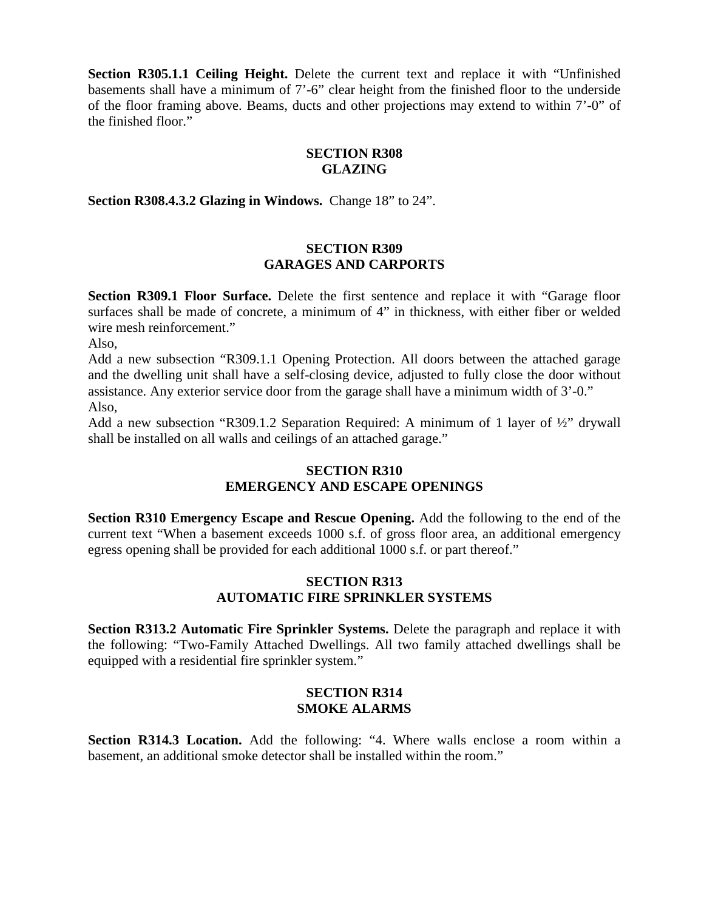**Section R305.1.1 Ceiling Height.** Delete the current text and replace it with "Unfinished basements shall have a minimum of 7'-6" clear height from the finished floor to the underside of the floor framing above. Beams, ducts and other projections may extend to within 7'-0" of the finished floor."

## **SECTION R308 GLAZING**

**Section R308.4.3.2 Glazing in Windows.** Change 18" to 24".

### **SECTION R309 GARAGES AND CARPORTS**

**Section R309.1 Floor Surface.** Delete the first sentence and replace it with "Garage floor surfaces shall be made of concrete, a minimum of 4" in thickness, with either fiber or welded wire mesh reinforcement."

Also,

Add a new subsection "R309.1.1 Opening Protection. All doors between the attached garage and the dwelling unit shall have a self-closing device, adjusted to fully close the door without assistance. Any exterior service door from the garage shall have a minimum width of 3'-0." Also,

Add a new subsection "R309.1.2 Separation Required: A minimum of 1 layer of ½" drywall shall be installed on all walls and ceilings of an attached garage."

## **SECTION R310 EMERGENCY AND ESCAPE OPENINGS**

**Section R310 Emergency Escape and Rescue Opening.** Add the following to the end of the current text "When a basement exceeds 1000 s.f. of gross floor area, an additional emergency egress opening shall be provided for each additional 1000 s.f. or part thereof."

## **SECTION R313 AUTOMATIC FIRE SPRINKLER SYSTEMS**

**Section R313.2 Automatic Fire Sprinkler Systems.** Delete the paragraph and replace it with the following: "Two-Family Attached Dwellings. All two family attached dwellings shall be equipped with a residential fire sprinkler system."

### **SECTION R314 SMOKE ALARMS**

**Section R314.3 Location.** Add the following: "4. Where walls enclose a room within a basement, an additional smoke detector shall be installed within the room."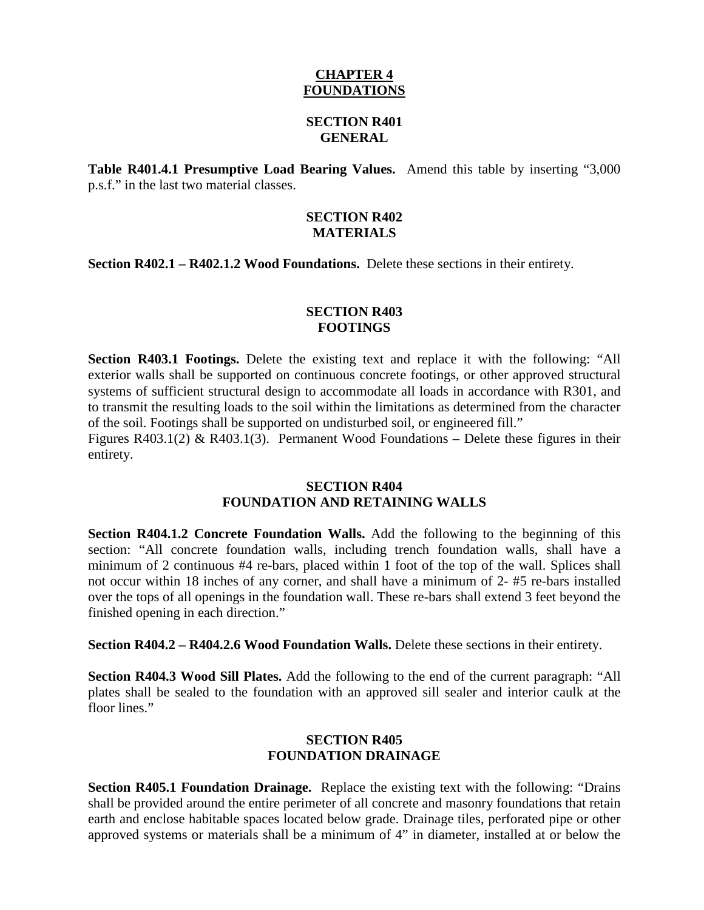### **CHAPTER 4 FOUNDATIONS**

#### **SECTION R401 GENERAL**

**Table R401.4.1 Presumptive Load Bearing Values.** Amend this table by inserting "3,000 p.s.f." in the last two material classes.

#### **SECTION R402 MATERIALS**

**Section R402.1 – R402.1.2 Wood Foundations.** Delete these sections in their entirety.

## **SECTION R403 FOOTINGS**

**Section R403.1 Footings.** Delete the existing text and replace it with the following: "All exterior walls shall be supported on continuous concrete footings, or other approved structural systems of sufficient structural design to accommodate all loads in accordance with R301, and to transmit the resulting loads to the soil within the limitations as determined from the character of the soil. Footings shall be supported on undisturbed soil, or engineered fill."

Figures R403.1(2) & R403.1(3). Permanent Wood Foundations – Delete these figures in their entirety.

#### **SECTION R404 FOUNDATION AND RETAINING WALLS**

**Section R404.1.2 Concrete Foundation Walls.** Add the following to the beginning of this section: "All concrete foundation walls, including trench foundation walls, shall have a minimum of 2 continuous #4 re-bars, placed within 1 foot of the top of the wall. Splices shall not occur within 18 inches of any corner, and shall have a minimum of 2- #5 re-bars installed over the tops of all openings in the foundation wall. These re-bars shall extend 3 feet beyond the finished opening in each direction."

**Section R404.2 – R404.2.6 Wood Foundation Walls.** Delete these sections in their entirety.

**Section R404.3 Wood Sill Plates.** Add the following to the end of the current paragraph: "All plates shall be sealed to the foundation with an approved sill sealer and interior caulk at the floor lines."

## **SECTION R405 FOUNDATION DRAINAGE**

**Section R405.1 Foundation Drainage.** Replace the existing text with the following: "Drains shall be provided around the entire perimeter of all concrete and masonry foundations that retain earth and enclose habitable spaces located below grade. Drainage tiles, perforated pipe or other approved systems or materials shall be a minimum of 4" in diameter, installed at or below the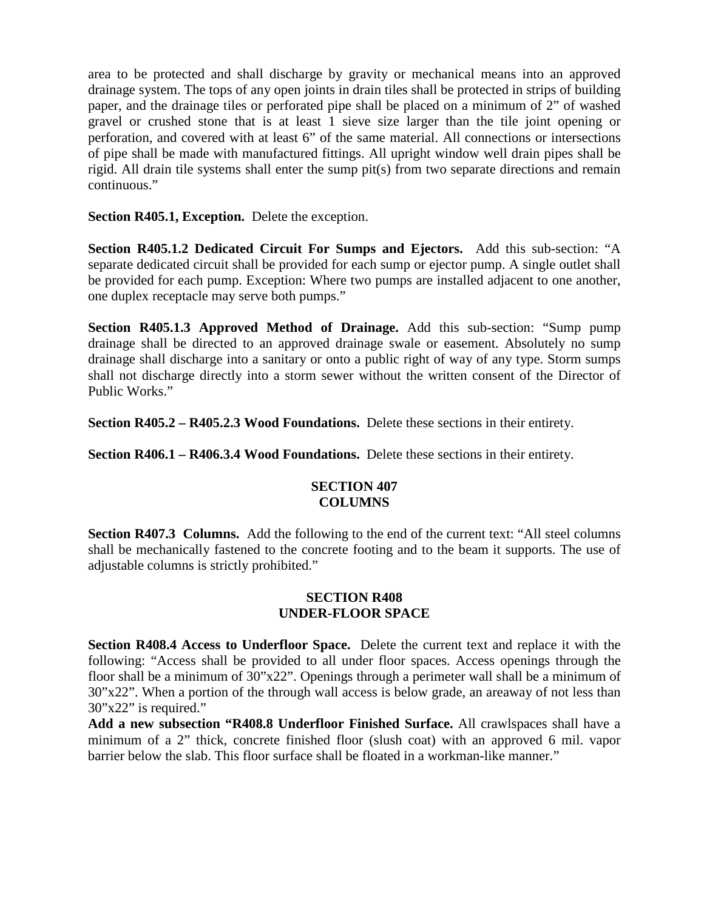area to be protected and shall discharge by gravity or mechanical means into an approved drainage system. The tops of any open joints in drain tiles shall be protected in strips of building paper, and the drainage tiles or perforated pipe shall be placed on a minimum of 2" of washed gravel or crushed stone that is at least 1 sieve size larger than the tile joint opening or perforation, and covered with at least 6" of the same material. All connections or intersections of pipe shall be made with manufactured fittings. All upright window well drain pipes shall be rigid. All drain tile systems shall enter the sump pit(s) from two separate directions and remain continuous."

**Section R405.1, Exception.** Delete the exception.

**Section R405.1.2 Dedicated Circuit For Sumps and Ejectors.** Add this sub-section: "A separate dedicated circuit shall be provided for each sump or ejector pump. A single outlet shall be provided for each pump. Exception: Where two pumps are installed adjacent to one another, one duplex receptacle may serve both pumps."

**Section R405.1.3 Approved Method of Drainage.** Add this sub-section: "Sump pump drainage shall be directed to an approved drainage swale or easement. Absolutely no sump drainage shall discharge into a sanitary or onto a public right of way of any type. Storm sumps shall not discharge directly into a storm sewer without the written consent of the Director of Public Works."

**Section R405.2 – R405.2.3 Wood Foundations.** Delete these sections in their entirety.

**Section R406.1 – R406.3.4 Wood Foundations.** Delete these sections in their entirety.

## **SECTION 407 COLUMNS**

**Section R407.3 Columns.** Add the following to the end of the current text: "All steel columns shall be mechanically fastened to the concrete footing and to the beam it supports. The use of adjustable columns is strictly prohibited."

## **SECTION R408 UNDER-FLOOR SPACE**

**Section R408.4 Access to Underfloor Space.** Delete the current text and replace it with the following: "Access shall be provided to all under floor spaces. Access openings through the floor shall be a minimum of 30"x22". Openings through a perimeter wall shall be a minimum of 30"x22". When a portion of the through wall access is below grade, an areaway of not less than 30"x22" is required."

**Add a new subsection "R408.8 Underfloor Finished Surface.** All crawlspaces shall have a minimum of a 2" thick, concrete finished floor (slush coat) with an approved 6 mil. vapor barrier below the slab. This floor surface shall be floated in a workman-like manner."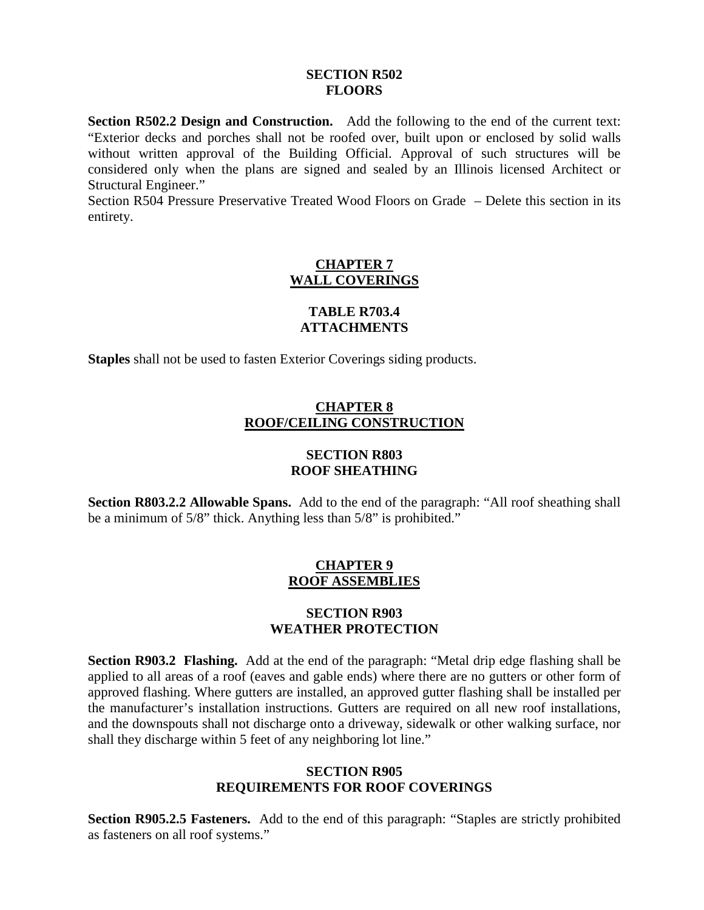#### **SECTION R502 FLOORS**

**Section R502.2 Design and Construction.** Add the following to the end of the current text: "Exterior decks and porches shall not be roofed over, built upon or enclosed by solid walls without written approval of the Building Official. Approval of such structures will be considered only when the plans are signed and sealed by an Illinois licensed Architect or Structural Engineer."

Section R504 Pressure Preservative Treated Wood Floors on Grade – Delete this section in its entirety.

## **CHAPTER 7 WALL COVERINGS**

## **TABLE R703.4 ATTACHMENTS**

**Staples** shall not be used to fasten Exterior Coverings siding products.

## **CHAPTER 8 ROOF/CEILING CONSTRUCTION**

#### **SECTION R803 ROOF SHEATHING**

**Section R803.2.2 Allowable Spans.** Add to the end of the paragraph: "All roof sheathing shall be a minimum of 5/8" thick. Anything less than 5/8" is prohibited."

## **CHAPTER 9 ROOF ASSEMBLIES**

### **SECTION R903 WEATHER PROTECTION**

**Section R903.2 Flashing.** Add at the end of the paragraph: "Metal drip edge flashing shall be applied to all areas of a roof (eaves and gable ends) where there are no gutters or other form of approved flashing. Where gutters are installed, an approved gutter flashing shall be installed per the manufacturer's installation instructions. Gutters are required on all new roof installations, and the downspouts shall not discharge onto a driveway, sidewalk or other walking surface, nor shall they discharge within 5 feet of any neighboring lot line."

## **SECTION R905 REQUIREMENTS FOR ROOF COVERINGS**

**Section R905.2.5 Fasteners.** Add to the end of this paragraph: "Staples are strictly prohibited as fasteners on all roof systems."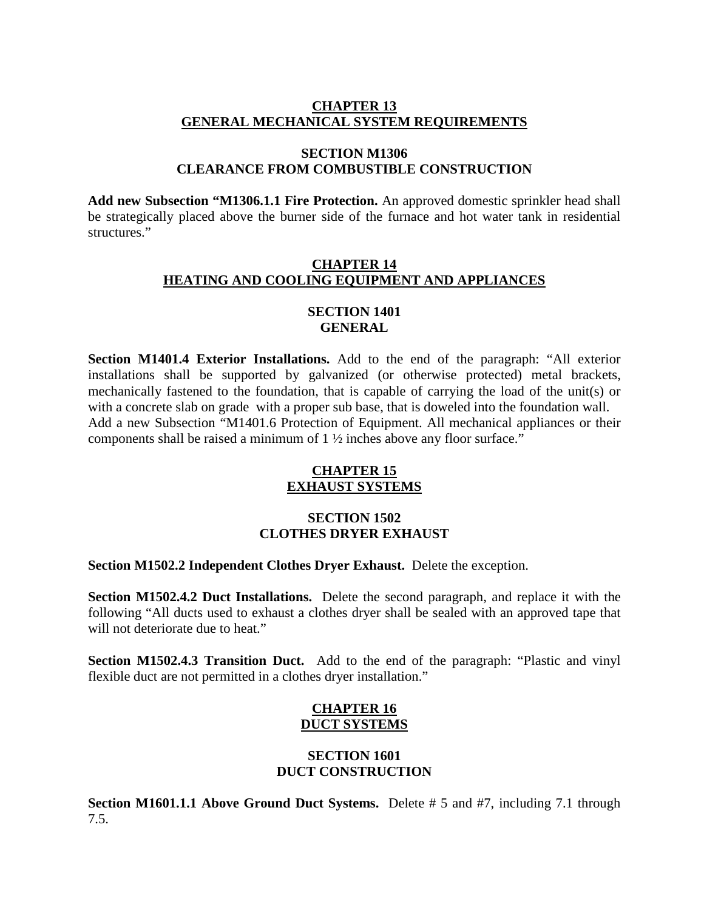## **CHAPTER 13 GENERAL MECHANICAL SYSTEM REQUIREMENTS**

#### **SECTION M1306 CLEARANCE FROM COMBUSTIBLE CONSTRUCTION**

**Add new Subsection "M1306.1.1 Fire Protection.** An approved domestic sprinkler head shall be strategically placed above the burner side of the furnace and hot water tank in residential structures."

## **CHAPTER 14 HEATING AND COOLING EQUIPMENT AND APPLIANCES**

## **SECTION 1401 GENERAL**

**Section M1401.4 Exterior Installations.** Add to the end of the paragraph: "All exterior installations shall be supported by galvanized (or otherwise protected) metal brackets, mechanically fastened to the foundation, that is capable of carrying the load of the unit(s) or with a concrete slab on grade with a proper sub base, that is doweled into the foundation wall. Add a new Subsection "M1401.6 Protection of Equipment. All mechanical appliances or their components shall be raised a minimum of 1 ½ inches above any floor surface."

## **CHAPTER 15 EXHAUST SYSTEMS**

### **SECTION 1502 CLOTHES DRYER EXHAUST**

**Section M1502.2 Independent Clothes Dryer Exhaust.** Delete the exception.

**Section M1502.4.2 Duct Installations.** Delete the second paragraph, and replace it with the following "All ducts used to exhaust a clothes dryer shall be sealed with an approved tape that will not deteriorate due to heat."

**Section M1502.4.3 Transition Duct.** Add to the end of the paragraph: "Plastic and vinyl flexible duct are not permitted in a clothes dryer installation."

## **CHAPTER 16 DUCT SYSTEMS**

#### **SECTION 1601 DUCT CONSTRUCTION**

**Section M1601.1.1 Above Ground Duct Systems.** Delete # 5 and #7, including 7.1 through 7.5.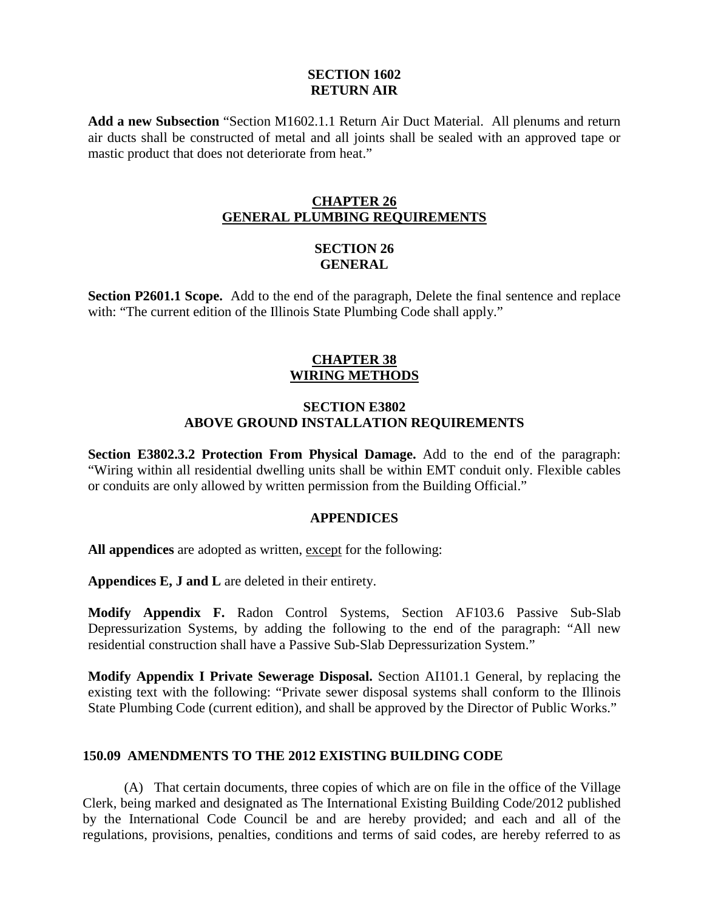#### **SECTION 1602 RETURN AIR**

**Add a new Subsection** "Section M1602.1.1 Return Air Duct Material. All plenums and return air ducts shall be constructed of metal and all joints shall be sealed with an approved tape or mastic product that does not deteriorate from heat."

## **CHAPTER 26 GENERAL PLUMBING REQUIREMENTS**

### **SECTION 26 GENERAL**

**Section P2601.1 Scope.** Add to the end of the paragraph, Delete the final sentence and replace with: "The current edition of the Illinois State Plumbing Code shall apply."

## **CHAPTER 38 WIRING METHODS**

### **SECTION E3802 ABOVE GROUND INSTALLATION REQUIREMENTS**

**Section E3802.3.2 Protection From Physical Damage.** Add to the end of the paragraph: "Wiring within all residential dwelling units shall be within EMT conduit only. Flexible cables or conduits are only allowed by written permission from the Building Official."

### **APPENDICES**

All appendices are adopted as written, except for the following:

**Appendices E, J and L** are deleted in their entirety.

**Modify Appendix F.** Radon Control Systems, Section AF103.6 Passive Sub-Slab Depressurization Systems, by adding the following to the end of the paragraph: "All new residential construction shall have a Passive Sub-Slab Depressurization System."

**Modify Appendix I Private Sewerage Disposal.** Section AI101.1 General, by replacing the existing text with the following: "Private sewer disposal systems shall conform to the Illinois State Plumbing Code (current edition), and shall be approved by the Director of Public Works."

### **150.09 AMENDMENTS TO THE 2012 EXISTING BUILDING CODE**

(A) That certain documents, three copies of which are on file in the office of the Village Clerk, being marked and designated as The International Existing Building Code/2012 published by the International Code Council be and are hereby provided; and each and all of the regulations, provisions, penalties, conditions and terms of said codes, are hereby referred to as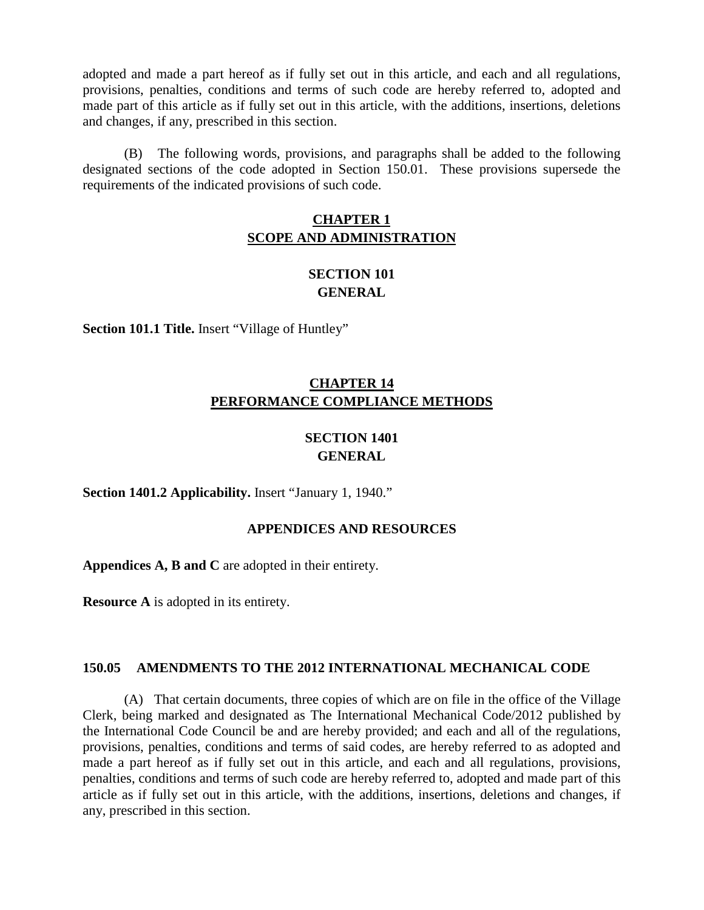adopted and made a part hereof as if fully set out in this article, and each and all regulations, provisions, penalties, conditions and terms of such code are hereby referred to, adopted and made part of this article as if fully set out in this article, with the additions, insertions, deletions and changes, if any, prescribed in this section.

(B) The following words, provisions, and paragraphs shall be added to the following designated sections of the code adopted in Section 150.01. These provisions supersede the requirements of the indicated provisions of such code.

## **CHAPTER 1 SCOPE AND ADMINISTRATION**

# **SECTION 101 GENERAL**

**Section 101.1 Title.** Insert "Village of Huntley"

# **CHAPTER 14 PERFORMANCE COMPLIANCE METHODS**

# **SECTION 1401 GENERAL**

**Section 1401.2 Applicability.** Insert "January 1, 1940."

### **APPENDICES AND RESOURCES**

**Appendices A, B and C** are adopted in their entirety.

**Resource A** is adopted in its entirety.

### **150.05 AMENDMENTS TO THE 2012 INTERNATIONAL MECHANICAL CODE**

(A) That certain documents, three copies of which are on file in the office of the Village Clerk, being marked and designated as The International Mechanical Code/2012 published by the International Code Council be and are hereby provided; and each and all of the regulations, provisions, penalties, conditions and terms of said codes, are hereby referred to as adopted and made a part hereof as if fully set out in this article, and each and all regulations, provisions, penalties, conditions and terms of such code are hereby referred to, adopted and made part of this article as if fully set out in this article, with the additions, insertions, deletions and changes, if any, prescribed in this section.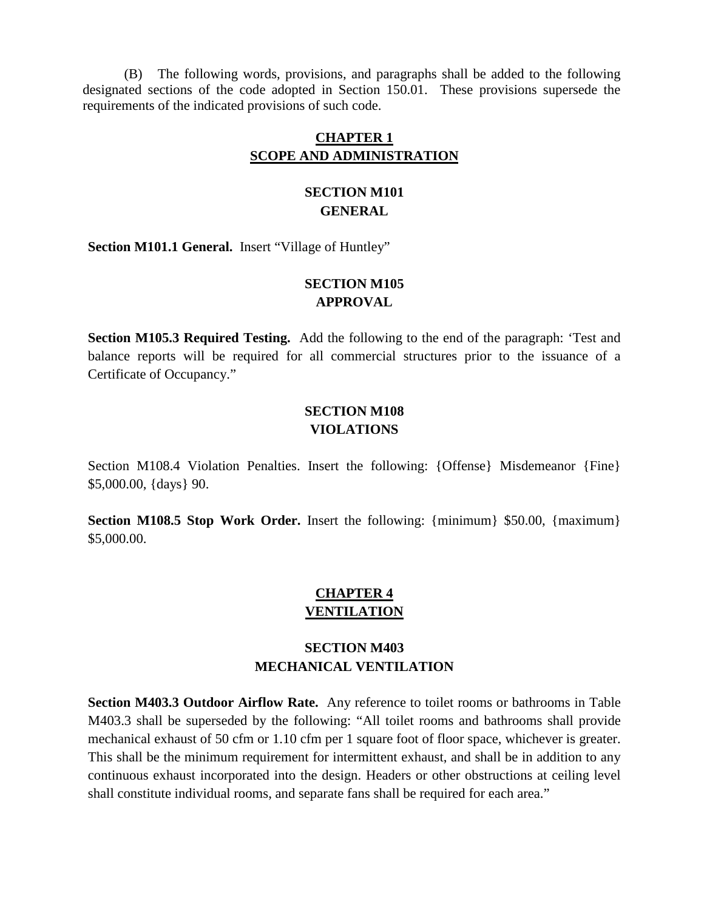(B) The following words, provisions, and paragraphs shall be added to the following designated sections of the code adopted in Section 150.01. These provisions supersede the requirements of the indicated provisions of such code.

### **CHAPTER 1 SCOPE AND ADMINISTRATION**

## **SECTION M101 GENERAL**

Section M101.1 General. Insert "Village of Huntley"

## **SECTION M105 APPROVAL**

**Section M105.3 Required Testing.** Add the following to the end of the paragraph: 'Test and balance reports will be required for all commercial structures prior to the issuance of a Certificate of Occupancy."

## **SECTION M108 VIOLATIONS**

Section M108.4 Violation Penalties. Insert the following: {Offense} Misdemeanor {Fine} \$5,000.00, {days} 90.

**Section M108.5 Stop Work Order.** Insert the following: {minimum} \$50.00, {maximum} \$5,000.00.

## **CHAPTER 4 VENTILATION**

# **SECTION M403 MECHANICAL VENTILATION**

**Section M403.3 Outdoor Airflow Rate.** Any reference to toilet rooms or bathrooms in Table M403.3 shall be superseded by the following: "All toilet rooms and bathrooms shall provide mechanical exhaust of 50 cfm or 1.10 cfm per 1 square foot of floor space, whichever is greater. This shall be the minimum requirement for intermittent exhaust, and shall be in addition to any continuous exhaust incorporated into the design. Headers or other obstructions at ceiling level shall constitute individual rooms, and separate fans shall be required for each area."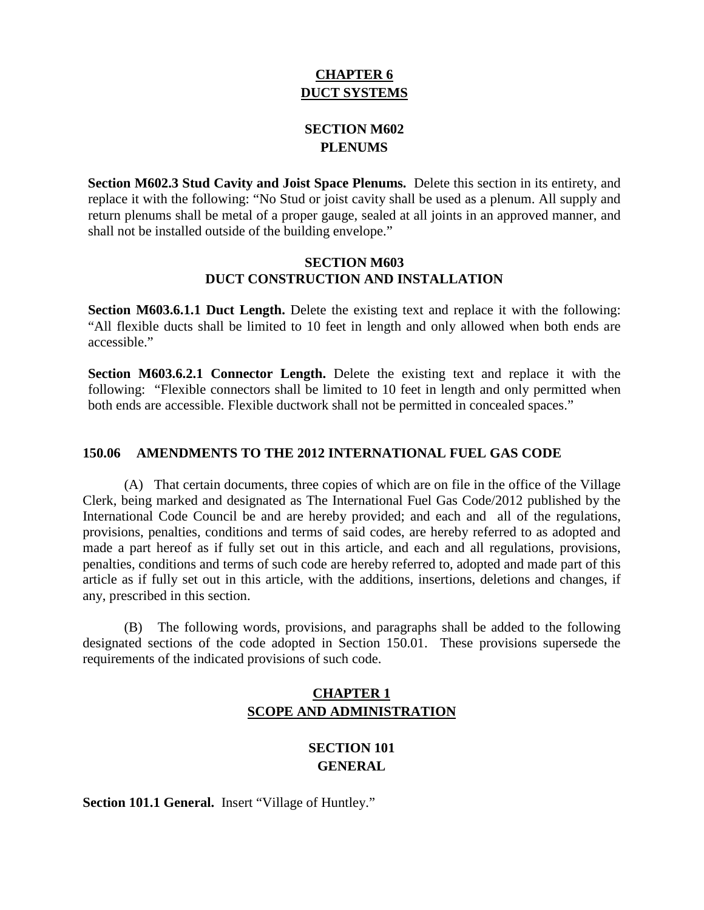# **CHAPTER 6 DUCT SYSTEMS**

# **SECTION M602 PLENUMS**

**Section M602.3 Stud Cavity and Joist Space Plenums.** Delete this section in its entirety, and replace it with the following: "No Stud or joist cavity shall be used as a plenum. All supply and return plenums shall be metal of a proper gauge, sealed at all joints in an approved manner, and shall not be installed outside of the building envelope."

#### **SECTION M603 DUCT CONSTRUCTION AND INSTALLATION**

**Section M603.6.1.1 Duct Length.** Delete the existing text and replace it with the following: "All flexible ducts shall be limited to 10 feet in length and only allowed when both ends are accessible."

**Section M603.6.2.1 Connector Length.** Delete the existing text and replace it with the following: "Flexible connectors shall be limited to 10 feet in length and only permitted when both ends are accessible. Flexible ductwork shall not be permitted in concealed spaces."

#### **150.06 AMENDMENTS TO THE 2012 INTERNATIONAL FUEL GAS CODE**

(A) That certain documents, three copies of which are on file in the office of the Village Clerk, being marked and designated as The International Fuel Gas Code/2012 published by the International Code Council be and are hereby provided; and each and all of the regulations, provisions, penalties, conditions and terms of said codes, are hereby referred to as adopted and made a part hereof as if fully set out in this article, and each and all regulations, provisions, penalties, conditions and terms of such code are hereby referred to, adopted and made part of this article as if fully set out in this article, with the additions, insertions, deletions and changes, if any, prescribed in this section.

(B) The following words, provisions, and paragraphs shall be added to the following designated sections of the code adopted in Section 150.01. These provisions supersede the requirements of the indicated provisions of such code.

## **CHAPTER 1 SCOPE AND ADMINISTRATION**

# **SECTION 101 GENERAL**

Section 101.1 General. Insert "Village of Huntley."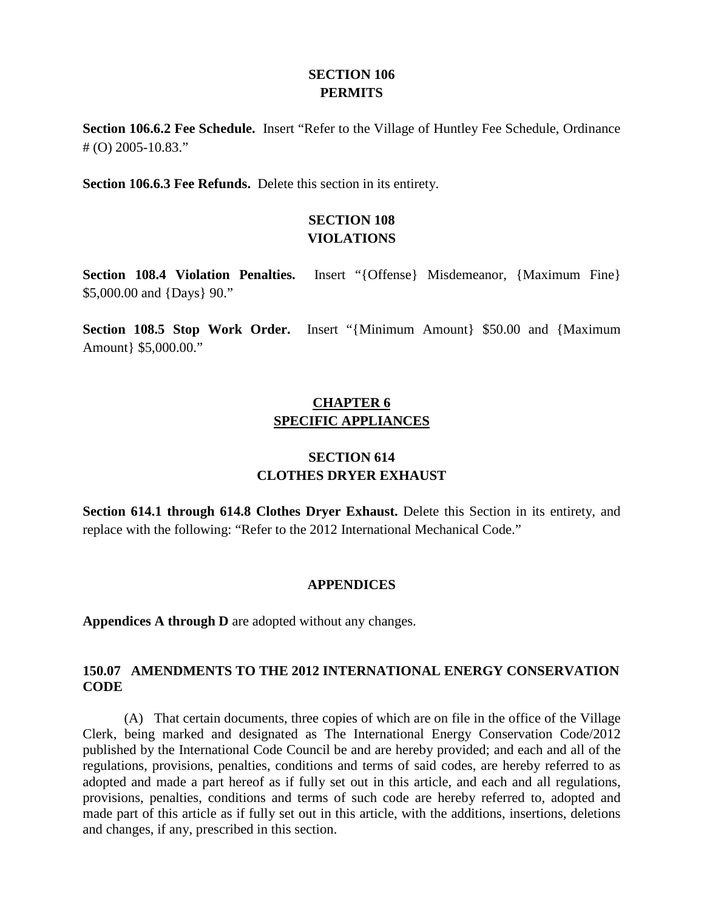## **SECTION 106 PERMITS**

**Section 106.6.2 Fee Schedule.** Insert "Refer to the Village of Huntley Fee Schedule, Ordinance # (O) 2005-10.83."

**Section 106.6.3 Fee Refunds.** Delete this section in its entirety.

## **SECTION 108 VIOLATIONS**

**Section 108.4 Violation Penalties.** Insert "{Offense} Misdemeanor, {Maximum Fine} \$5,000.00 and {Days} 90."

**Section 108.5 Stop Work Order.** Insert "{Minimum Amount} \$50.00 and {Maximum Amount} \$5,000.00."

# **CHAPTER 6 SPECIFIC APPLIANCES**

# **SECTION 614 CLOTHES DRYER EXHAUST**

**Section 614.1 through 614.8 Clothes Dryer Exhaust.** Delete this Section in its entirety, and replace with the following: "Refer to the 2012 International Mechanical Code."

### **APPENDICES**

**Appendices A through D** are adopted without any changes.

#### **150.07 AMENDMENTS TO THE 2012 INTERNATIONAL ENERGY CONSERVATION CODE**

(A) That certain documents, three copies of which are on file in the office of the Village Clerk, being marked and designated as The International Energy Conservation Code/2012 published by the International Code Council be and are hereby provided; and each and all of the regulations, provisions, penalties, conditions and terms of said codes, are hereby referred to as adopted and made a part hereof as if fully set out in this article, and each and all regulations, provisions, penalties, conditions and terms of such code are hereby referred to, adopted and made part of this article as if fully set out in this article, with the additions, insertions, deletions and changes, if any, prescribed in this section.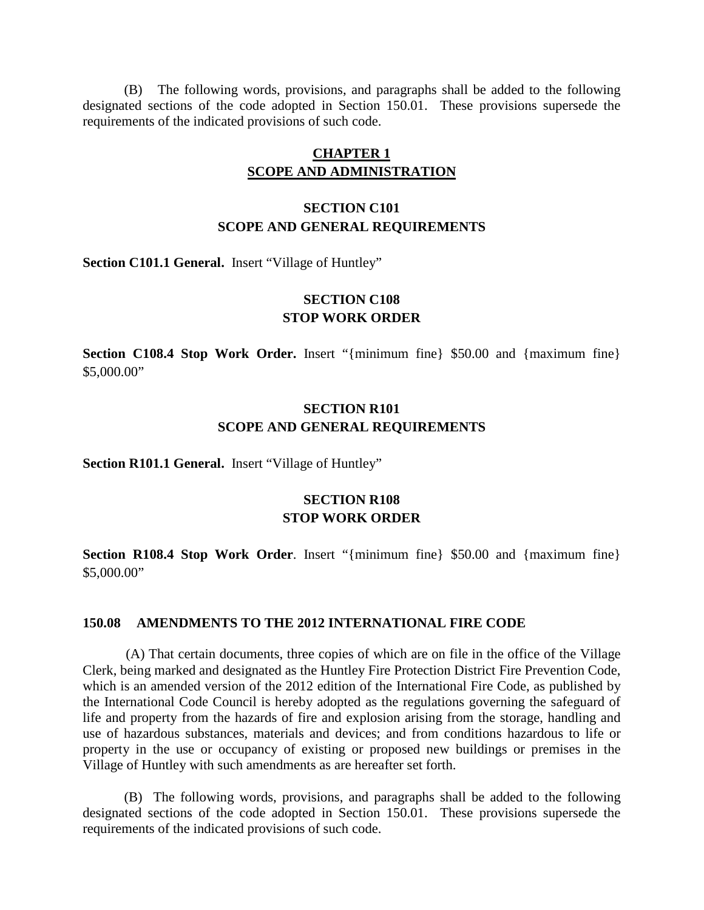(B) The following words, provisions, and paragraphs shall be added to the following designated sections of the code adopted in Section 150.01. These provisions supersede the requirements of the indicated provisions of such code.

## **CHAPTER 1 SCOPE AND ADMINISTRATION**

## **SECTION C101 SCOPE AND GENERAL REQUIREMENTS**

Section C101.1 General. Insert "Village of Huntley"

## **SECTION C108 STOP WORK ORDER**

**Section C108.4 Stop Work Order.** Insert "{minimum fine} \$50.00 and {maximum fine} \$5,000.00"

## **SECTION R101 SCOPE AND GENERAL REQUIREMENTS**

**Section R101.1 General.** Insert "Village of Huntley"

## **SECTION R108 STOP WORK ORDER**

**Section R108.4 Stop Work Order**. Insert "{minimum fine} \$50.00 and {maximum fine} \$5,000.00"

#### **150.08 AMENDMENTS TO THE 2012 INTERNATIONAL FIRE CODE**

(A) That certain documents, three copies of which are on file in the office of the Village Clerk, being marked and designated as the Huntley Fire Protection District Fire Prevention Code, which is an amended version of the 2012 edition of the International Fire Code, as published by the International Code Council is hereby adopted as the regulations governing the safeguard of life and property from the hazards of fire and explosion arising from the storage, handling and use of hazardous substances, materials and devices; and from conditions hazardous to life or property in the use or occupancy of existing or proposed new buildings or premises in the Village of Huntley with such amendments as are hereafter set forth.

(B) The following words, provisions, and paragraphs shall be added to the following designated sections of the code adopted in Section 150.01. These provisions supersede the requirements of the indicated provisions of such code.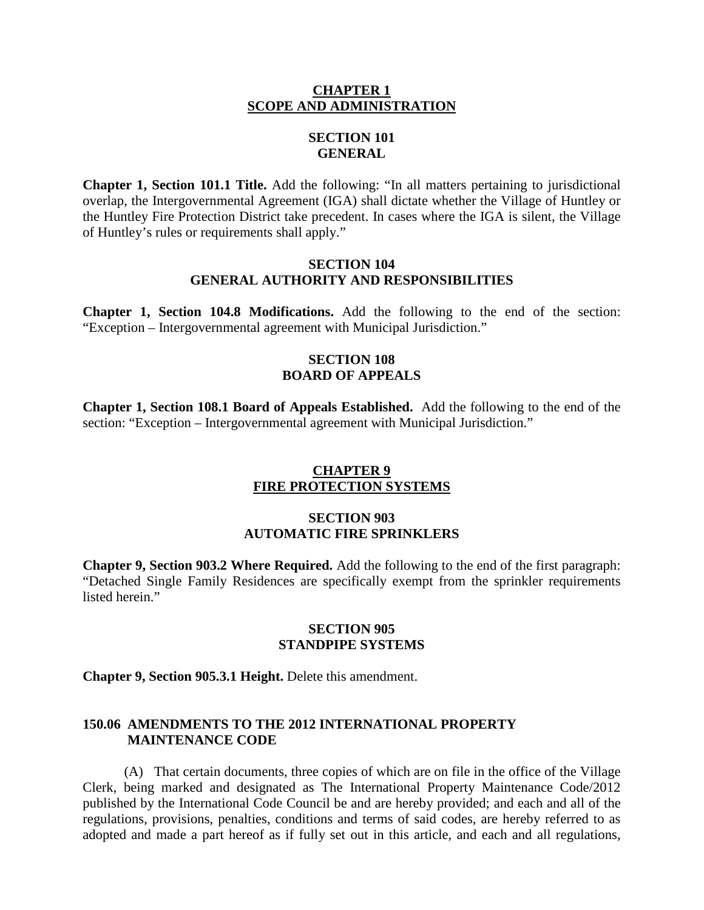#### **CHAPTER 1 SCOPE AND ADMINISTRATION**

## **SECTION 101 GENERAL**

**Chapter 1, Section 101.1 Title.** Add the following: "In all matters pertaining to jurisdictional overlap, the Intergovernmental Agreement (IGA) shall dictate whether the Village of Huntley or the Huntley Fire Protection District take precedent. In cases where the IGA is silent, the Village of Huntley's rules or requirements shall apply."

### **SECTION 104 GENERAL AUTHORITY AND RESPONSIBILITIES**

**Chapter 1, Section 104.8 Modifications.** Add the following to the end of the section: "Exception – Intergovernmental agreement with Municipal Jurisdiction."

### **SECTION 108 BOARD OF APPEALS**

**Chapter 1, Section 108.1 Board of Appeals Established.** Add the following to the end of the section: "Exception – Intergovernmental agreement with Municipal Jurisdiction."

## **CHAPTER 9 FIRE PROTECTION SYSTEMS**

### **SECTION 903 AUTOMATIC FIRE SPRINKLERS**

**Chapter 9, Section 903.2 Where Required.** Add the following to the end of the first paragraph: "Detached Single Family Residences are specifically exempt from the sprinkler requirements listed herein."

#### **SECTION 905 STANDPIPE SYSTEMS**

**Chapter 9, Section 905.3.1 Height.** Delete this amendment.

#### **150.06 AMENDMENTS TO THE 2012 INTERNATIONAL PROPERTY MAINTENANCE CODE**

(A) That certain documents, three copies of which are on file in the office of the Village Clerk, being marked and designated as The International Property Maintenance Code/2012 published by the International Code Council be and are hereby provided; and each and all of the regulations, provisions, penalties, conditions and terms of said codes, are hereby referred to as adopted and made a part hereof as if fully set out in this article, and each and all regulations,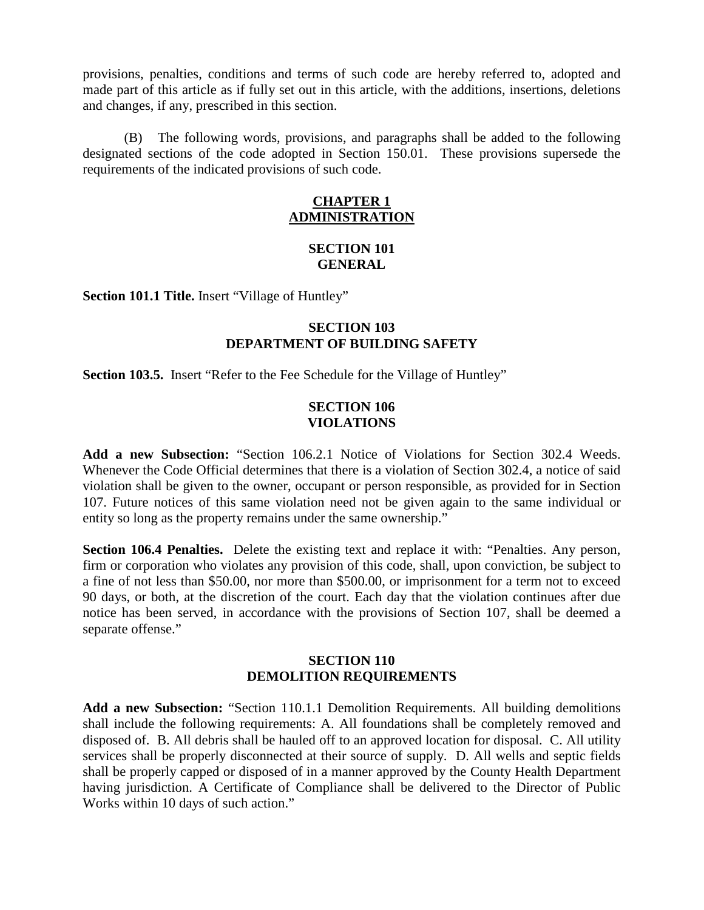provisions, penalties, conditions and terms of such code are hereby referred to, adopted and made part of this article as if fully set out in this article, with the additions, insertions, deletions and changes, if any, prescribed in this section.

(B) The following words, provisions, and paragraphs shall be added to the following designated sections of the code adopted in Section 150.01. These provisions supersede the requirements of the indicated provisions of such code.

## **CHAPTER 1 ADMINISTRATION**

### **SECTION 101 GENERAL**

**Section 101.1 Title.** Insert "Village of Huntley"

## **SECTION 103 DEPARTMENT OF BUILDING SAFETY**

**Section 103.5.** Insert "Refer to the Fee Schedule for the Village of Huntley"

#### **SECTION 106 VIOLATIONS**

**Add a new Subsection:** "Section 106.2.1 Notice of Violations for Section 302.4 Weeds. Whenever the Code Official determines that there is a violation of Section 302.4, a notice of said violation shall be given to the owner, occupant or person responsible, as provided for in Section 107. Future notices of this same violation need not be given again to the same individual or entity so long as the property remains under the same ownership."

**Section 106.4 Penalties.** Delete the existing text and replace it with: "Penalties. Any person, firm or corporation who violates any provision of this code, shall, upon conviction, be subject to a fine of not less than \$50.00, nor more than \$500.00, or imprisonment for a term not to exceed 90 days, or both, at the discretion of the court. Each day that the violation continues after due notice has been served, in accordance with the provisions of Section 107, shall be deemed a separate offense."

## **SECTION 110 DEMOLITION REQUIREMENTS**

**Add a new Subsection:** "Section 110.1.1 Demolition Requirements. All building demolitions shall include the following requirements: A. All foundations shall be completely removed and disposed of. B. All debris shall be hauled off to an approved location for disposal. C. All utility services shall be properly disconnected at their source of supply. D. All wells and septic fields shall be properly capped or disposed of in a manner approved by the County Health Department having jurisdiction. A Certificate of Compliance shall be delivered to the Director of Public Works within 10 days of such action."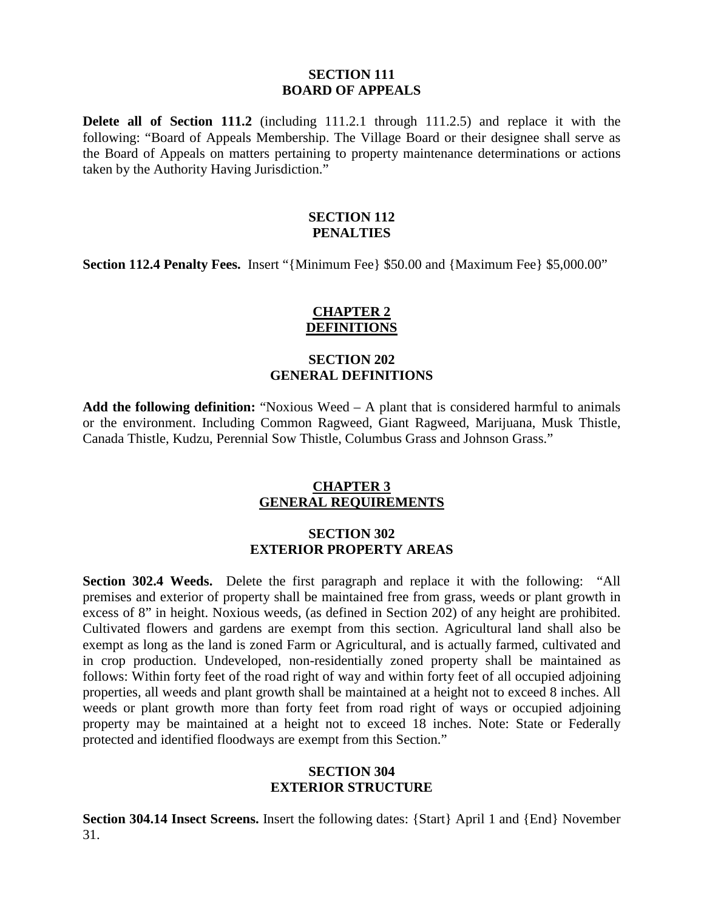#### **SECTION 111 BOARD OF APPEALS**

**Delete all of Section 111.2** (including 111.2.1 through 111.2.5) and replace it with the following: "Board of Appeals Membership. The Village Board or their designee shall serve as the Board of Appeals on matters pertaining to property maintenance determinations or actions taken by the Authority Having Jurisdiction."

### **SECTION 112 PENALTIES**

**Section 112.4 Penalty Fees.** Insert "{Minimum Fee} \$50.00 and {Maximum Fee} \$5,000.00"

## **CHAPTER 2 DEFINITIONS**

## **SECTION 202 GENERAL DEFINITIONS**

**Add the following definition:** "Noxious Weed – A plant that is considered harmful to animals or the environment. Including Common Ragweed, Giant Ragweed, Marijuana, Musk Thistle, Canada Thistle, Kudzu, Perennial Sow Thistle, Columbus Grass and Johnson Grass."

### **CHAPTER 3 GENERAL REQUIREMENTS**

#### **SECTION 302 EXTERIOR PROPERTY AREAS**

**Section 302.4 Weeds.** Delete the first paragraph and replace it with the following: "All premises and exterior of property shall be maintained free from grass, weeds or plant growth in excess of 8" in height. Noxious weeds, (as defined in Section 202) of any height are prohibited. Cultivated flowers and gardens are exempt from this section. Agricultural land shall also be exempt as long as the land is zoned Farm or Agricultural, and is actually farmed, cultivated and in crop production. Undeveloped, non-residentially zoned property shall be maintained as follows: Within forty feet of the road right of way and within forty feet of all occupied adjoining properties, all weeds and plant growth shall be maintained at a height not to exceed 8 inches. All weeds or plant growth more than forty feet from road right of ways or occupied adjoining property may be maintained at a height not to exceed 18 inches. Note: State or Federally protected and identified floodways are exempt from this Section."

### **SECTION 304 EXTERIOR STRUCTURE**

**Section 304.14 Insect Screens.** Insert the following dates: {Start} April 1 and {End} November 31.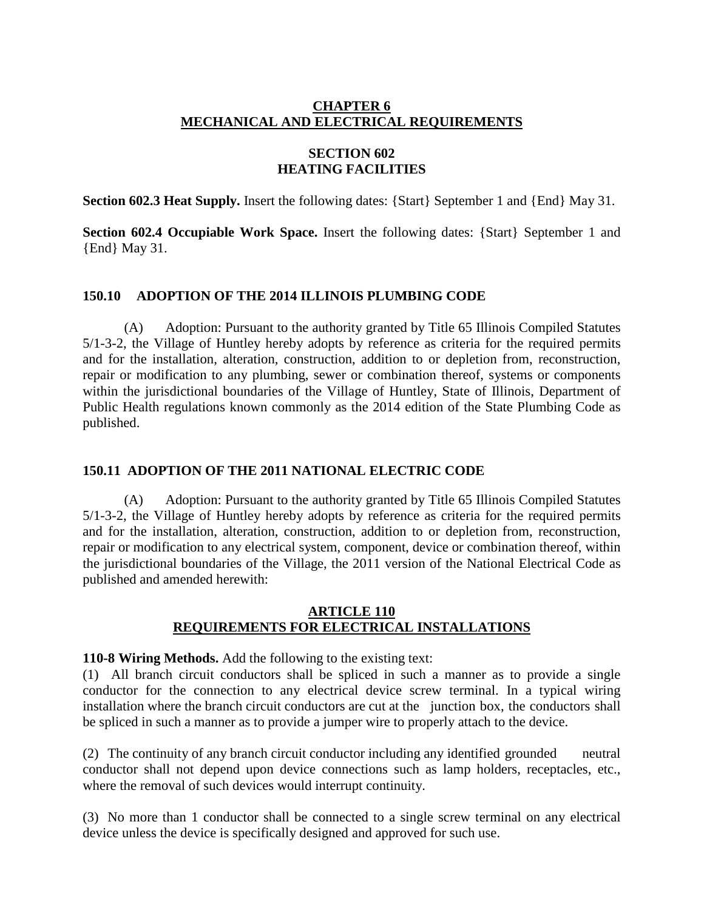## **CHAPTER 6 MECHANICAL AND ELECTRICAL REQUIREMENTS**

## **SECTION 602 HEATING FACILITIES**

**Section 602.3 Heat Supply.** Insert the following dates: {Start} September 1 and {End} May 31.

**Section 602.4 Occupiable Work Space.** Insert the following dates: {Start} September 1 and {End} May 31.

### **150.10 ADOPTION OF THE 2014 ILLINOIS PLUMBING CODE**

(A) Adoption: Pursuant to the authority granted by Title 65 Illinois Compiled Statutes 5/1-3-2, the Village of Huntley hereby adopts by reference as criteria for the required permits and for the installation, alteration, construction, addition to or depletion from, reconstruction, repair or modification to any plumbing, sewer or combination thereof, systems or components within the jurisdictional boundaries of the Village of Huntley, State of Illinois, Department of Public Health regulations known commonly as the 2014 edition of the State Plumbing Code as published.

### **150.11 ADOPTION OF THE 2011 NATIONAL ELECTRIC CODE**

(A) Adoption: Pursuant to the authority granted by Title 65 Illinois Compiled Statutes 5/1-3-2, the Village of Huntley hereby adopts by reference as criteria for the required permits and for the installation, alteration, construction, addition to or depletion from, reconstruction, repair or modification to any electrical system, component, device or combination thereof, within the jurisdictional boundaries of the Village, the 2011 version of the National Electrical Code as published and amended herewith:

#### **ARTICLE 110 REQUIREMENTS FOR ELECTRICAL INSTALLATIONS**

**110-8 Wiring Methods.** Add the following to the existing text:

(1) All branch circuit conductors shall be spliced in such a manner as to provide a single conductor for the connection to any electrical device screw terminal. In a typical wiring installation where the branch circuit conductors are cut at the junction box, the conductors shall be spliced in such a manner as to provide a jumper wire to properly attach to the device.

(2) The continuity of any branch circuit conductor including any identified grounded neutral conductor shall not depend upon device connections such as lamp holders, receptacles, etc., where the removal of such devices would interrupt continuity.

(3) No more than 1 conductor shall be connected to a single screw terminal on any electrical device unless the device is specifically designed and approved for such use.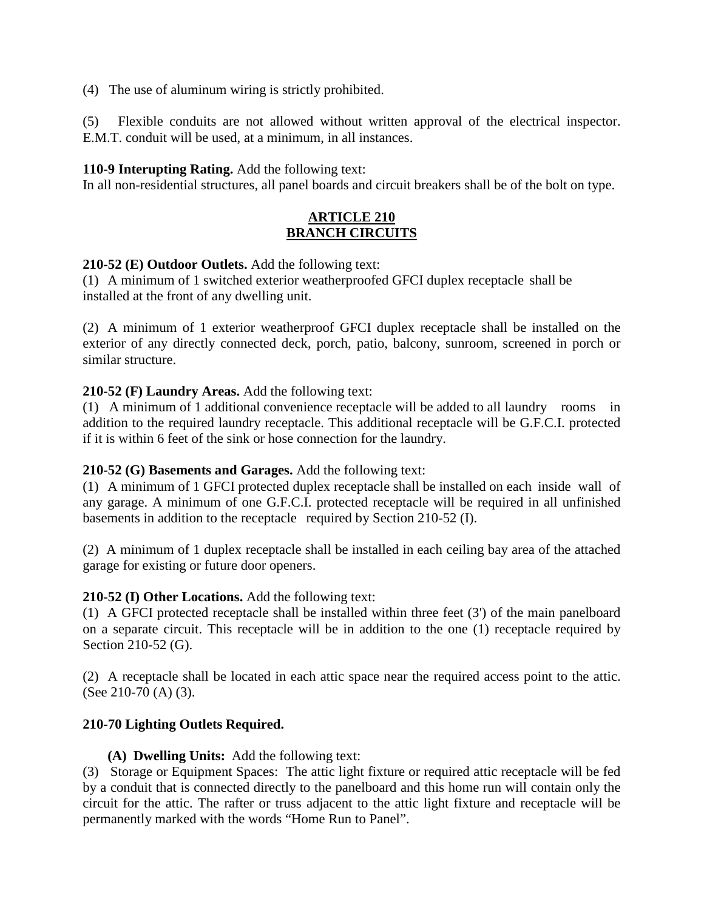(4) The use of aluminum wiring is strictly prohibited.

(5) Flexible conduits are not allowed without written approval of the electrical inspector. E.M.T. conduit will be used, at a minimum, in all instances.

## **110-9 Interupting Rating.** Add the following text:

In all non-residential structures, all panel boards and circuit breakers shall be of the bolt on type.

## **ARTICLE 210 BRANCH CIRCUITS**

### **210-52 (E) Outdoor Outlets.** Add the following text:

(1) A minimum of 1 switched exterior weatherproofed GFCI duplex receptacle shall be installed at the front of any dwelling unit.

(2) A minimum of 1 exterior weatherproof GFCI duplex receptacle shall be installed on the exterior of any directly connected deck, porch, patio, balcony, sunroom, screened in porch or similar structure.

### **210-52 (F) Laundry Areas.** Add the following text:

(1) A minimum of 1 additional convenience receptacle will be added to all laundry rooms in addition to the required laundry receptacle. This additional receptacle will be G.F.C.I. protected if it is within 6 feet of the sink or hose connection for the laundry.

### **210-52 (G) Basements and Garages.** Add the following text:

(1) A minimum of 1 GFCI protected duplex receptacle shall be installed on each inside wall of any garage. A minimum of one G.F.C.I. protected receptacle will be required in all unfinished basements in addition to the receptacle required by Section 210-52 (I).

(2) A minimum of 1 duplex receptacle shall be installed in each ceiling bay area of the attached garage for existing or future door openers.

### **210-52 (I) Other Locations.** Add the following text:

(1) A GFCI protected receptacle shall be installed within three feet (3') of the main panelboard on a separate circuit. This receptacle will be in addition to the one (1) receptacle required by Section 210-52 (G).

(2) A receptacle shall be located in each attic space near the required access point to the attic. (See 210-70 (A) (3).

## **210-70 Lighting Outlets Required.**

### **(A) Dwelling Units:** Add the following text:

(3) Storage or Equipment Spaces: The attic light fixture or required attic receptacle will be fed by a conduit that is connected directly to the panelboard and this home run will contain only the circuit for the attic. The rafter or truss adjacent to the attic light fixture and receptacle will be permanently marked with the words "Home Run to Panel".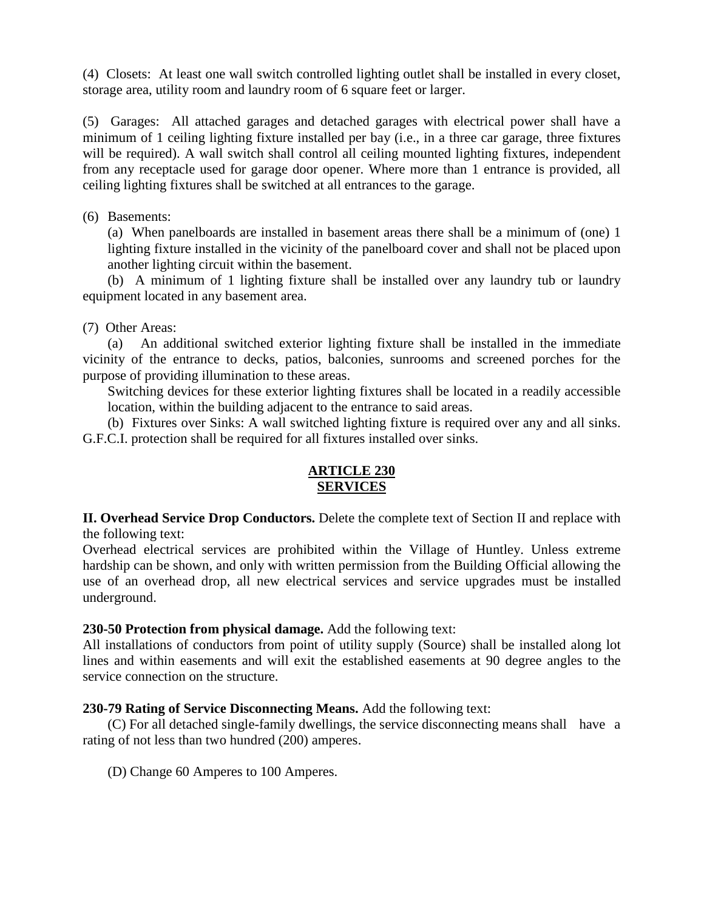(4) Closets: At least one wall switch controlled lighting outlet shall be installed in every closet, storage area, utility room and laundry room of 6 square feet or larger.

(5) Garages: All attached garages and detached garages with electrical power shall have a minimum of 1 ceiling lighting fixture installed per bay (i.e., in a three car garage, three fixtures will be required). A wall switch shall control all ceiling mounted lighting fixtures, independent from any receptacle used for garage door opener. Where more than 1 entrance is provided, all ceiling lighting fixtures shall be switched at all entrances to the garage.

(6) Basements:

(a) When panelboards are installed in basement areas there shall be a minimum of (one) 1 lighting fixture installed in the vicinity of the panelboard cover and shall not be placed upon another lighting circuit within the basement.

(b) A minimum of 1 lighting fixture shall be installed over any laundry tub or laundry equipment located in any basement area.

(7) Other Areas:

(a) An additional switched exterior lighting fixture shall be installed in the immediate vicinity of the entrance to decks, patios, balconies, sunrooms and screened porches for the purpose of providing illumination to these areas.

Switching devices for these exterior lighting fixtures shall be located in a readily accessible location, within the building adjacent to the entrance to said areas.

(b) Fixtures over Sinks: A wall switched lighting fixture is required over any and all sinks. G.F.C.I. protection shall be required for all fixtures installed over sinks.

## **ARTICLE 230 SERVICES**

**II. Overhead Service Drop Conductors.** Delete the complete text of Section II and replace with the following text:

Overhead electrical services are prohibited within the Village of Huntley. Unless extreme hardship can be shown, and only with written permission from the Building Official allowing the use of an overhead drop, all new electrical services and service upgrades must be installed underground.

## **230-50 Protection from physical damage.** Add the following text:

All installations of conductors from point of utility supply (Source) shall be installed along lot lines and within easements and will exit the established easements at 90 degree angles to the service connection on the structure.

## **230-79 Rating of Service Disconnecting Means.** Add the following text:

(C) For all detached single-family dwellings, the service disconnecting means shall have a rating of not less than two hundred (200) amperes.

(D) Change 60 Amperes to 100 Amperes.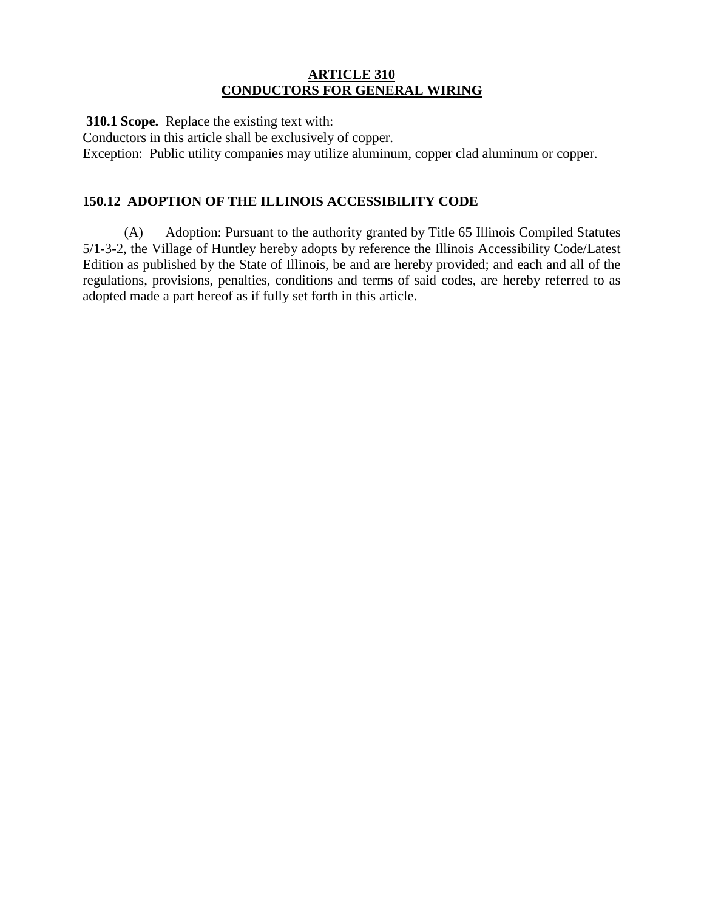#### **ARTICLE 310 CONDUCTORS FOR GENERAL WIRING**

 **310.1 Scope.** Replace the existing text with:

Conductors in this article shall be exclusively of copper.

Exception: Public utility companies may utilize aluminum, copper clad aluminum or copper.

## **150.12 ADOPTION OF THE ILLINOIS ACCESSIBILITY CODE**

(A) Adoption: Pursuant to the authority granted by Title 65 Illinois Compiled Statutes 5/1-3-2, the Village of Huntley hereby adopts by reference the Illinois Accessibility Code/Latest Edition as published by the State of Illinois, be and are hereby provided; and each and all of the regulations, provisions, penalties, conditions and terms of said codes, are hereby referred to as adopted made a part hereof as if fully set forth in this article.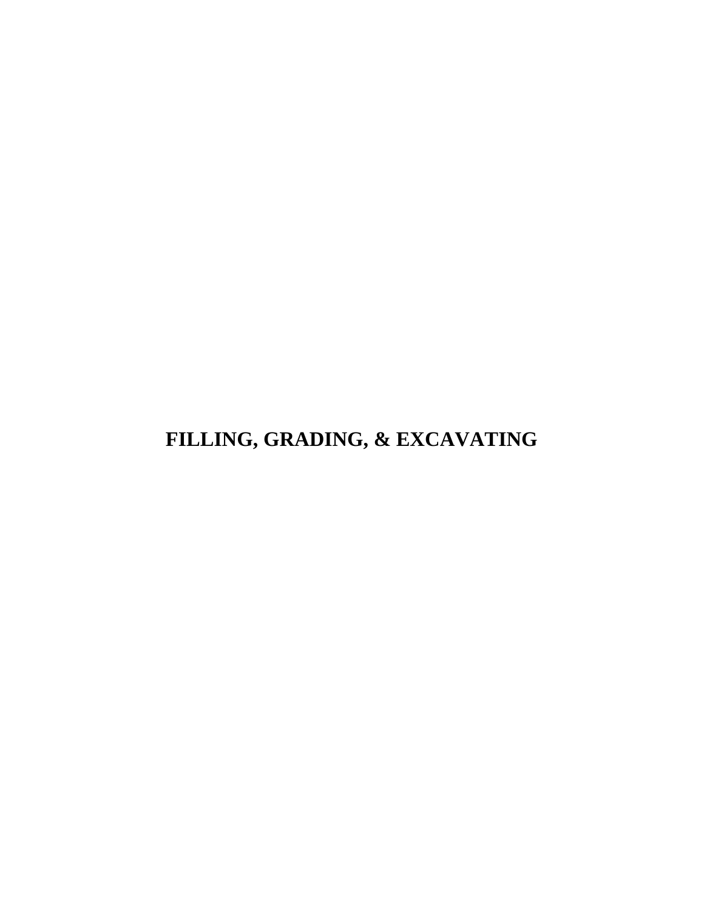# <span id="page-25-0"></span>**FILLING, GRADING, & EXCAVATING**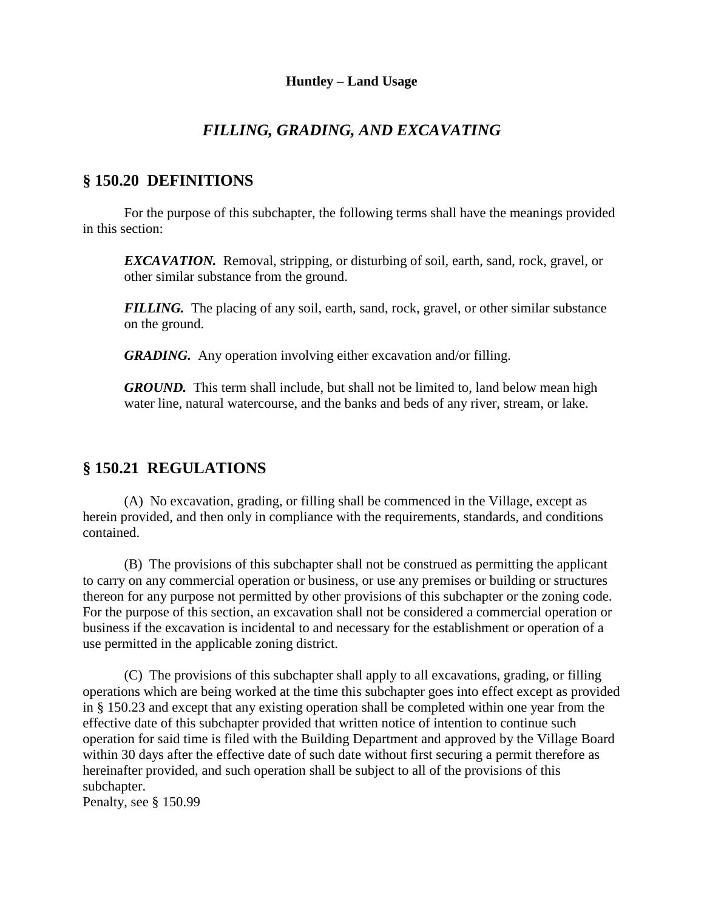# *FILLING, GRADING, AND EXCAVATING*

# **§ 150.20 DEFINITIONS**

For the purpose of this subchapter, the following terms shall have the meanings provided in this section:

*EXCAVATION.* Removal, stripping, or disturbing of soil, earth, sand, rock, gravel, or other similar substance from the ground.

*FILLING*. The placing of any soil, earth, sand, rock, gravel, or other similar substance on the ground.

*GRADING.* Any operation involving either excavation and/or filling.

*GROUND.* This term shall include, but shall not be limited to, land below mean high water line, natural watercourse, and the banks and beds of any river, stream, or lake.

# **§ 150.21 REGULATIONS**

(A) No excavation, grading, or filling shall be commenced in the Village, except as herein provided, and then only in compliance with the requirements, standards, and conditions contained.

(B) The provisions of this subchapter shall not be construed as permitting the applicant to carry on any commercial operation or business, or use any premises or building or structures thereon for any purpose not permitted by other provisions of this subchapter or the zoning code. For the purpose of this section, an excavation shall not be considered a commercial operation or business if the excavation is incidental to and necessary for the establishment or operation of a use permitted in the applicable zoning district.

(C) The provisions of this subchapter shall apply to all excavations, grading, or filling operations which are being worked at the time this subchapter goes into effect except as provided in § 150.23 and except that any existing operation shall be completed within one year from the effective date of this subchapter provided that written notice of intention to continue such operation for said time is filed with the Building Department and approved by the Village Board within 30 days after the effective date of such date without first securing a permit therefore as hereinafter provided, and such operation shall be subject to all of the provisions of this subchapter.

Penalty, see § 150.99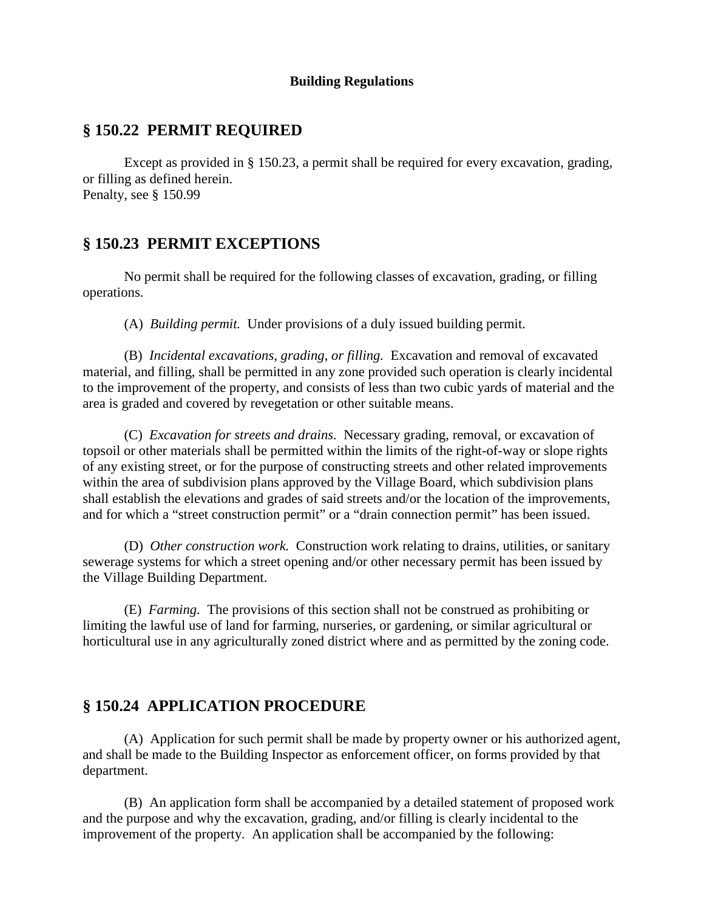#### **Building Regulations**

# **§ 150.22 PERMIT REQUIRED**

Except as provided in § 150.23, a permit shall be required for every excavation, grading, or filling as defined herein. Penalty, see § 150.99

## **§ 150.23 PERMIT EXCEPTIONS**

No permit shall be required for the following classes of excavation, grading, or filling operations.

(A) *Building permit.* Under provisions of a duly issued building permit.

(B) *Incidental excavations, grading, or filling.* Excavation and removal of excavated material, and filling, shall be permitted in any zone provided such operation is clearly incidental to the improvement of the property, and consists of less than two cubic yards of material and the area is graded and covered by revegetation or other suitable means.

(C) *Excavation for streets and drains.* Necessary grading, removal, or excavation of topsoil or other materials shall be permitted within the limits of the right-of-way or slope rights of any existing street, or for the purpose of constructing streets and other related improvements within the area of subdivision plans approved by the Village Board, which subdivision plans shall establish the elevations and grades of said streets and/or the location of the improvements, and for which a "street construction permit" or a "drain connection permit" has been issued.

(D) *Other construction work.* Construction work relating to drains, utilities, or sanitary sewerage systems for which a street opening and/or other necessary permit has been issued by the Village Building Department.

(E) *Farming.* The provisions of this section shall not be construed as prohibiting or limiting the lawful use of land for farming, nurseries, or gardening, or similar agricultural or horticultural use in any agriculturally zoned district where and as permitted by the zoning code.

## **§ 150.24 APPLICATION PROCEDURE**

(A) Application for such permit shall be made by property owner or his authorized agent, and shall be made to the Building Inspector as enforcement officer, on forms provided by that department.

(B) An application form shall be accompanied by a detailed statement of proposed work and the purpose and why the excavation, grading, and/or filling is clearly incidental to the improvement of the property. An application shall be accompanied by the following: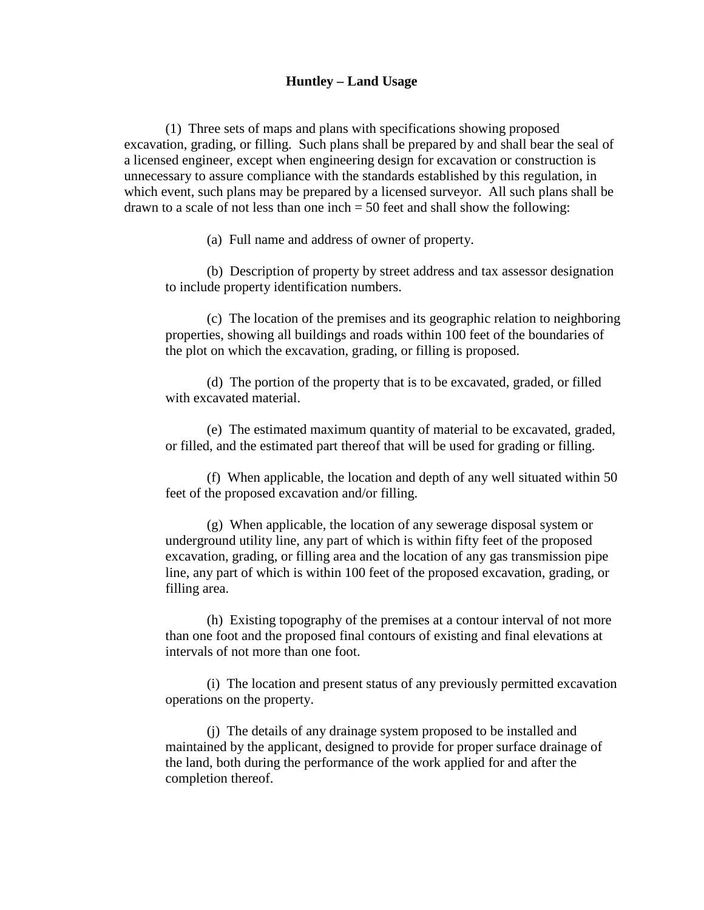#### **Huntley – Land Usage**

(1) Three sets of maps and plans with specifications showing proposed excavation, grading, or filling. Such plans shall be prepared by and shall bear the seal of a licensed engineer, except when engineering design for excavation or construction is unnecessary to assure compliance with the standards established by this regulation, in which event, such plans may be prepared by a licensed surveyor. All such plans shall be drawn to a scale of not less than one inch  $= 50$  feet and shall show the following:

(a) Full name and address of owner of property.

(b) Description of property by street address and tax assessor designation to include property identification numbers.

(c) The location of the premises and its geographic relation to neighboring properties, showing all buildings and roads within 100 feet of the boundaries of the plot on which the excavation, grading, or filling is proposed.

(d) The portion of the property that is to be excavated, graded, or filled with excavated material.

(e) The estimated maximum quantity of material to be excavated, graded, or filled, and the estimated part thereof that will be used for grading or filling.

(f) When applicable, the location and depth of any well situated within 50 feet of the proposed excavation and/or filling.

(g) When applicable, the location of any sewerage disposal system or underground utility line, any part of which is within fifty feet of the proposed excavation, grading, or filling area and the location of any gas transmission pipe line, any part of which is within 100 feet of the proposed excavation, grading, or filling area.

(h) Existing topography of the premises at a contour interval of not more than one foot and the proposed final contours of existing and final elevations at intervals of not more than one foot.

(i) The location and present status of any previously permitted excavation operations on the property.

(j) The details of any drainage system proposed to be installed and maintained by the applicant, designed to provide for proper surface drainage of the land, both during the performance of the work applied for and after the completion thereof.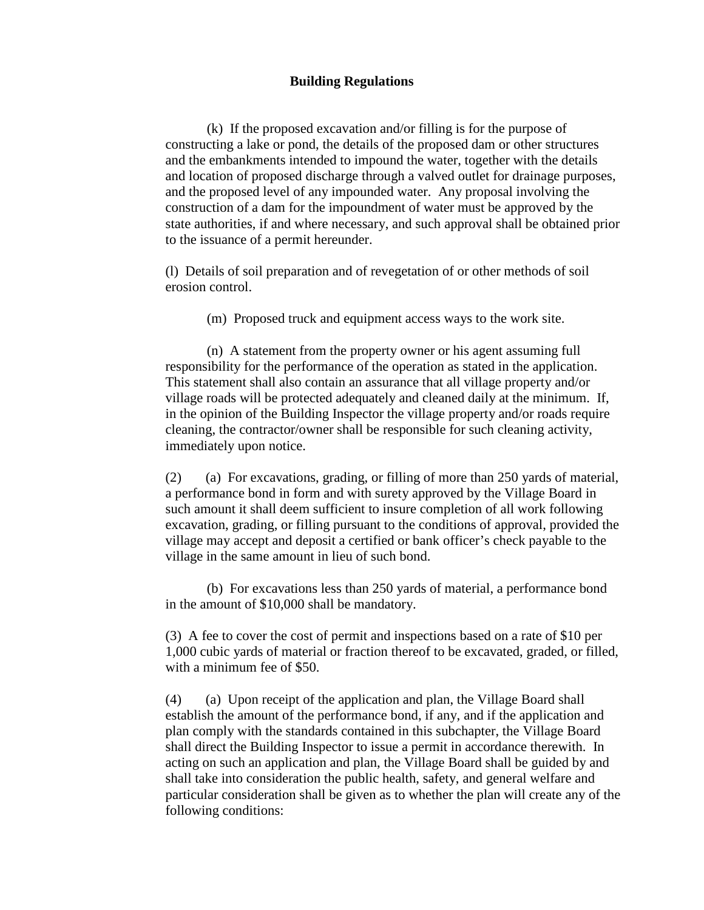#### **Building Regulations**

(k) If the proposed excavation and/or filling is for the purpose of constructing a lake or pond, the details of the proposed dam or other structures and the embankments intended to impound the water, together with the details and location of proposed discharge through a valved outlet for drainage purposes, and the proposed level of any impounded water. Any proposal involving the construction of a dam for the impoundment of water must be approved by the state authorities, if and where necessary, and such approval shall be obtained prior to the issuance of a permit hereunder.

(l) Details of soil preparation and of revegetation of or other methods of soil erosion control.

(m) Proposed truck and equipment access ways to the work site.

(n) A statement from the property owner or his agent assuming full responsibility for the performance of the operation as stated in the application. This statement shall also contain an assurance that all village property and/or village roads will be protected adequately and cleaned daily at the minimum. If, in the opinion of the Building Inspector the village property and/or roads require cleaning, the contractor/owner shall be responsible for such cleaning activity, immediately upon notice.

(2) (a) For excavations, grading, or filling of more than 250 yards of material, a performance bond in form and with surety approved by the Village Board in such amount it shall deem sufficient to insure completion of all work following excavation, grading, or filling pursuant to the conditions of approval, provided the village may accept and deposit a certified or bank officer's check payable to the village in the same amount in lieu of such bond.

(b) For excavations less than 250 yards of material, a performance bond in the amount of \$10,000 shall be mandatory.

(3) A fee to cover the cost of permit and inspections based on a rate of \$10 per 1,000 cubic yards of material or fraction thereof to be excavated, graded, or filled, with a minimum fee of \$50.

(4) (a) Upon receipt of the application and plan, the Village Board shall establish the amount of the performance bond, if any, and if the application and plan comply with the standards contained in this subchapter, the Village Board shall direct the Building Inspector to issue a permit in accordance therewith. In acting on such an application and plan, the Village Board shall be guided by and shall take into consideration the public health, safety, and general welfare and particular consideration shall be given as to whether the plan will create any of the following conditions: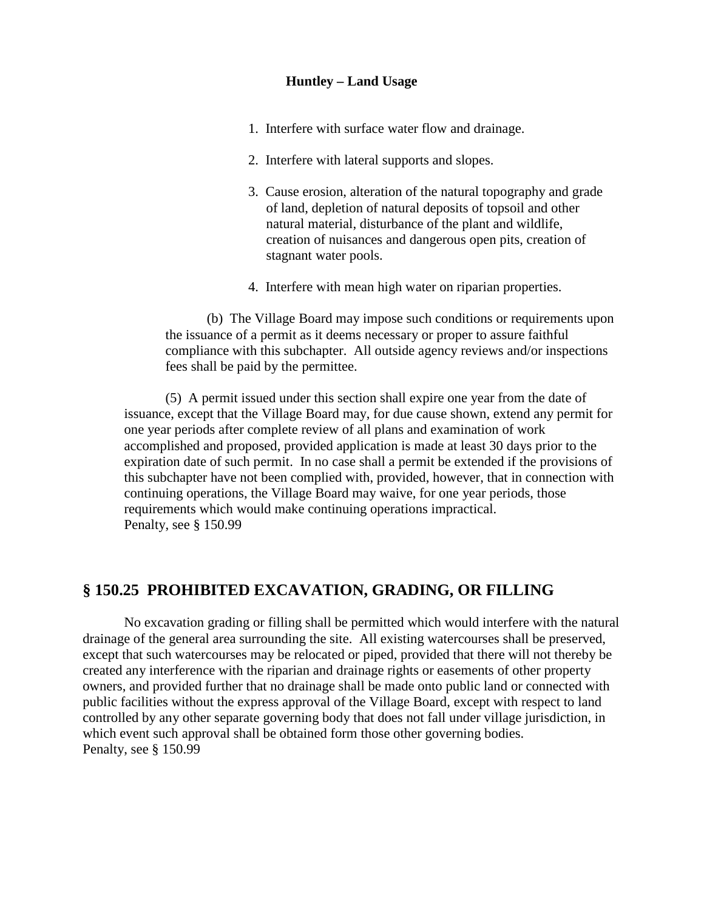#### **Huntley – Land Usage**

- 1. Interfere with surface water flow and drainage.
- 2. Interfere with lateral supports and slopes.
- 3. Cause erosion, alteration of the natural topography and grade of land, depletion of natural deposits of topsoil and other natural material, disturbance of the plant and wildlife, creation of nuisances and dangerous open pits, creation of stagnant water pools.
- 4. Interfere with mean high water on riparian properties.

(b) The Village Board may impose such conditions or requirements upon the issuance of a permit as it deems necessary or proper to assure faithful compliance with this subchapter. All outside agency reviews and/or inspections fees shall be paid by the permittee.

(5) A permit issued under this section shall expire one year from the date of issuance, except that the Village Board may, for due cause shown, extend any permit for one year periods after complete review of all plans and examination of work accomplished and proposed, provided application is made at least 30 days prior to the expiration date of such permit. In no case shall a permit be extended if the provisions of this subchapter have not been complied with, provided, however, that in connection with continuing operations, the Village Board may waive, for one year periods, those requirements which would make continuing operations impractical. Penalty, see § 150.99

# **§ 150.25 PROHIBITED EXCAVATION, GRADING, OR FILLING**

No excavation grading or filling shall be permitted which would interfere with the natural drainage of the general area surrounding the site. All existing watercourses shall be preserved, except that such watercourses may be relocated or piped, provided that there will not thereby be created any interference with the riparian and drainage rights or easements of other property owners, and provided further that no drainage shall be made onto public land or connected with public facilities without the express approval of the Village Board, except with respect to land controlled by any other separate governing body that does not fall under village jurisdiction, in which event such approval shall be obtained form those other governing bodies. Penalty, see § 150.99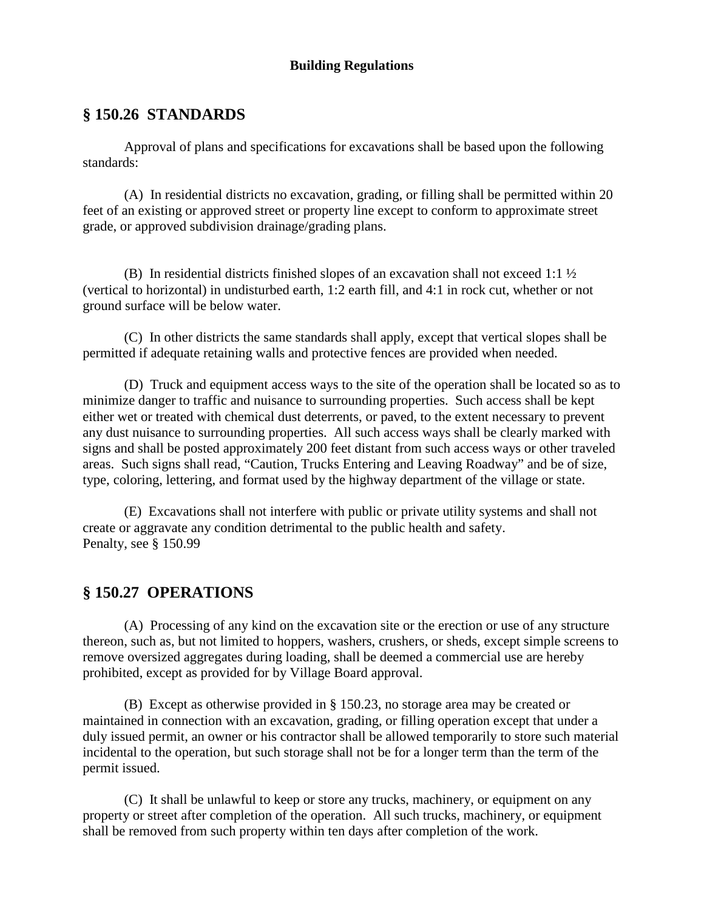## **Building Regulations**

## **§ 150.26 STANDARDS**

Approval of plans and specifications for excavations shall be based upon the following standards:

(A) In residential districts no excavation, grading, or filling shall be permitted within 20 feet of an existing or approved street or property line except to conform to approximate street grade, or approved subdivision drainage/grading plans.

(B) In residential districts finished slopes of an excavation shall not exceed 1:1  $\frac{1}{2}$ (vertical to horizontal) in undisturbed earth, 1:2 earth fill, and 4:1 in rock cut, whether or not ground surface will be below water.

(C) In other districts the same standards shall apply, except that vertical slopes shall be permitted if adequate retaining walls and protective fences are provided when needed.

(D) Truck and equipment access ways to the site of the operation shall be located so as to minimize danger to traffic and nuisance to surrounding properties. Such access shall be kept either wet or treated with chemical dust deterrents, or paved, to the extent necessary to prevent any dust nuisance to surrounding properties. All such access ways shall be clearly marked with signs and shall be posted approximately 200 feet distant from such access ways or other traveled areas. Such signs shall read, "Caution, Trucks Entering and Leaving Roadway" and be of size, type, coloring, lettering, and format used by the highway department of the village or state.

(E) Excavations shall not interfere with public or private utility systems and shall not create or aggravate any condition detrimental to the public health and safety. Penalty, see § 150.99

# **§ 150.27 OPERATIONS**

(A) Processing of any kind on the excavation site or the erection or use of any structure thereon, such as, but not limited to hoppers, washers, crushers, or sheds, except simple screens to remove oversized aggregates during loading, shall be deemed a commercial use are hereby prohibited, except as provided for by Village Board approval.

(B) Except as otherwise provided in § 150.23, no storage area may be created or maintained in connection with an excavation, grading, or filling operation except that under a duly issued permit, an owner or his contractor shall be allowed temporarily to store such material incidental to the operation, but such storage shall not be for a longer term than the term of the permit issued.

(C) It shall be unlawful to keep or store any trucks, machinery, or equipment on any property or street after completion of the operation. All such trucks, machinery, or equipment shall be removed from such property within ten days after completion of the work.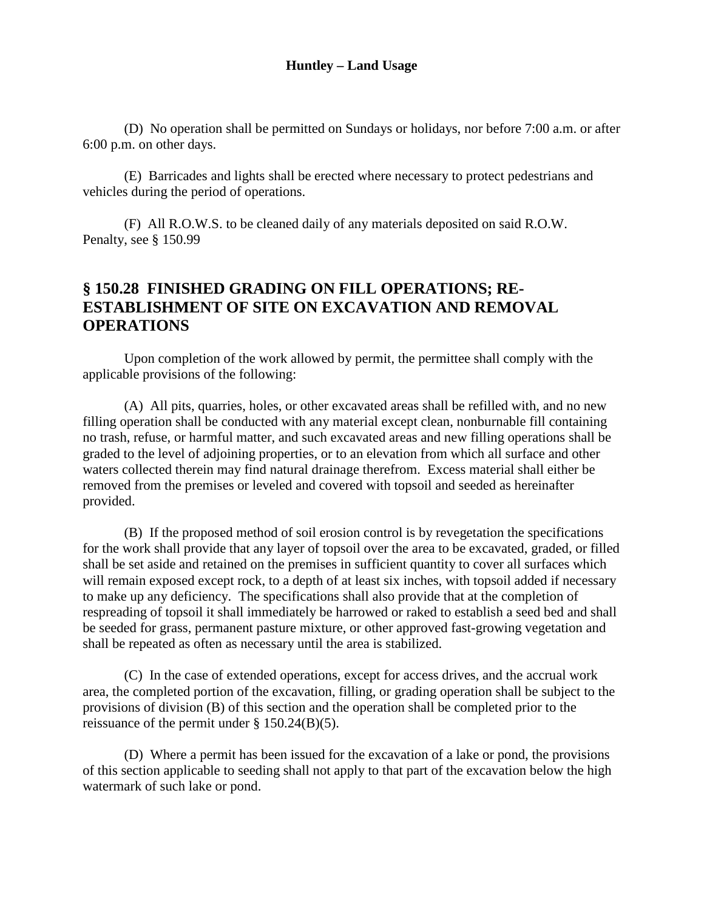(D) No operation shall be permitted on Sundays or holidays, nor before 7:00 a.m. or after 6:00 p.m. on other days.

(E) Barricades and lights shall be erected where necessary to protect pedestrians and vehicles during the period of operations.

(F) All R.O.W.S. to be cleaned daily of any materials deposited on said R.O.W. Penalty, see § 150.99

# **§ 150.28 FINISHED GRADING ON FILL OPERATIONS; RE-ESTABLISHMENT OF SITE ON EXCAVATION AND REMOVAL OPERATIONS**

Upon completion of the work allowed by permit, the permittee shall comply with the applicable provisions of the following:

(A) All pits, quarries, holes, or other excavated areas shall be refilled with, and no new filling operation shall be conducted with any material except clean, nonburnable fill containing no trash, refuse, or harmful matter, and such excavated areas and new filling operations shall be graded to the level of adjoining properties, or to an elevation from which all surface and other waters collected therein may find natural drainage therefrom. Excess material shall either be removed from the premises or leveled and covered with topsoil and seeded as hereinafter provided.

(B) If the proposed method of soil erosion control is by revegetation the specifications for the work shall provide that any layer of topsoil over the area to be excavated, graded, or filled shall be set aside and retained on the premises in sufficient quantity to cover all surfaces which will remain exposed except rock, to a depth of at least six inches, with topsoil added if necessary to make up any deficiency. The specifications shall also provide that at the completion of respreading of topsoil it shall immediately be harrowed or raked to establish a seed bed and shall be seeded for grass, permanent pasture mixture, or other approved fast-growing vegetation and shall be repeated as often as necessary until the area is stabilized.

(C) In the case of extended operations, except for access drives, and the accrual work area, the completed portion of the excavation, filling, or grading operation shall be subject to the provisions of division (B) of this section and the operation shall be completed prior to the reissuance of the permit under § 150.24(B)(5).

(D) Where a permit has been issued for the excavation of a lake or pond, the provisions of this section applicable to seeding shall not apply to that part of the excavation below the high watermark of such lake or pond.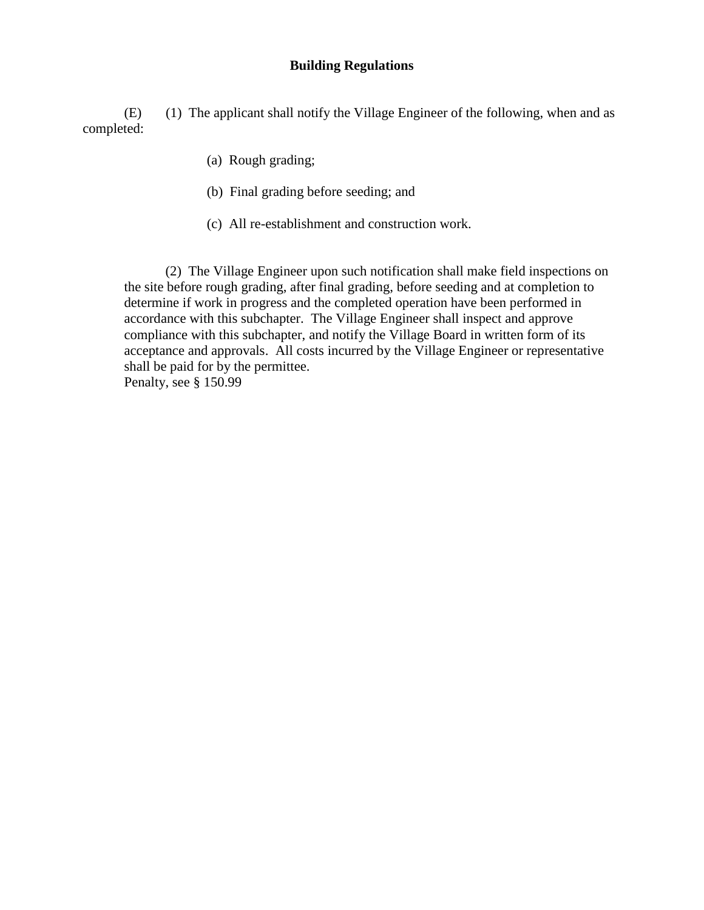#### **Building Regulations**

(E) (1) The applicant shall notify the Village Engineer of the following, when and as completed:

- (a) Rough grading;
- (b) Final grading before seeding; and
- (c) All re-establishment and construction work.

(2) The Village Engineer upon such notification shall make field inspections on the site before rough grading, after final grading, before seeding and at completion to determine if work in progress and the completed operation have been performed in accordance with this subchapter. The Village Engineer shall inspect and approve compliance with this subchapter, and notify the Village Board in written form of its acceptance and approvals. All costs incurred by the Village Engineer or representative shall be paid for by the permittee. Penalty, see § 150.99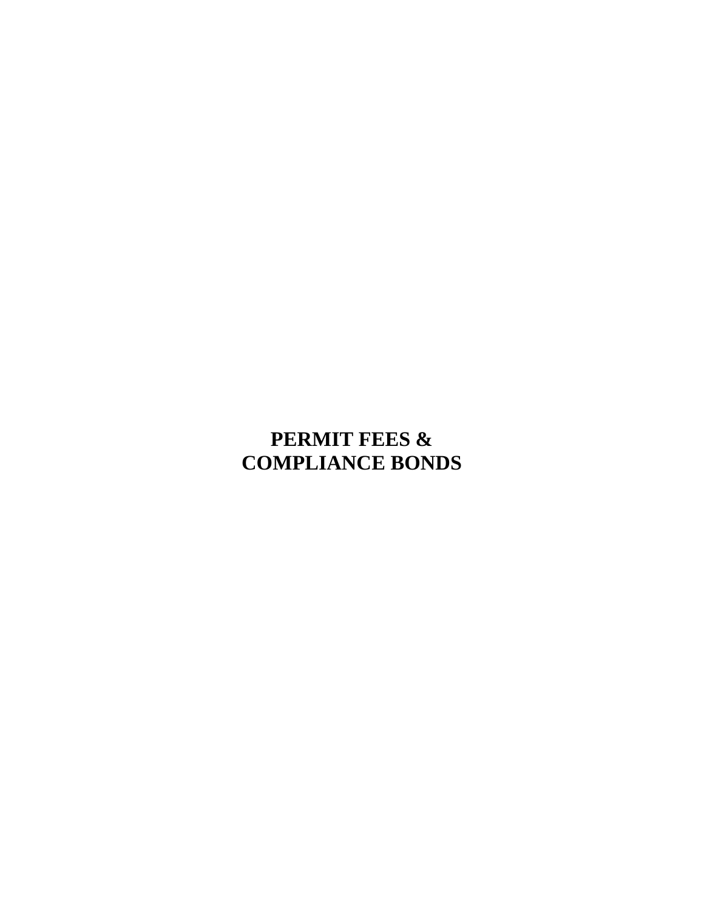# <span id="page-34-0"></span>**PERMIT FEES & COMPLIANCE BONDS**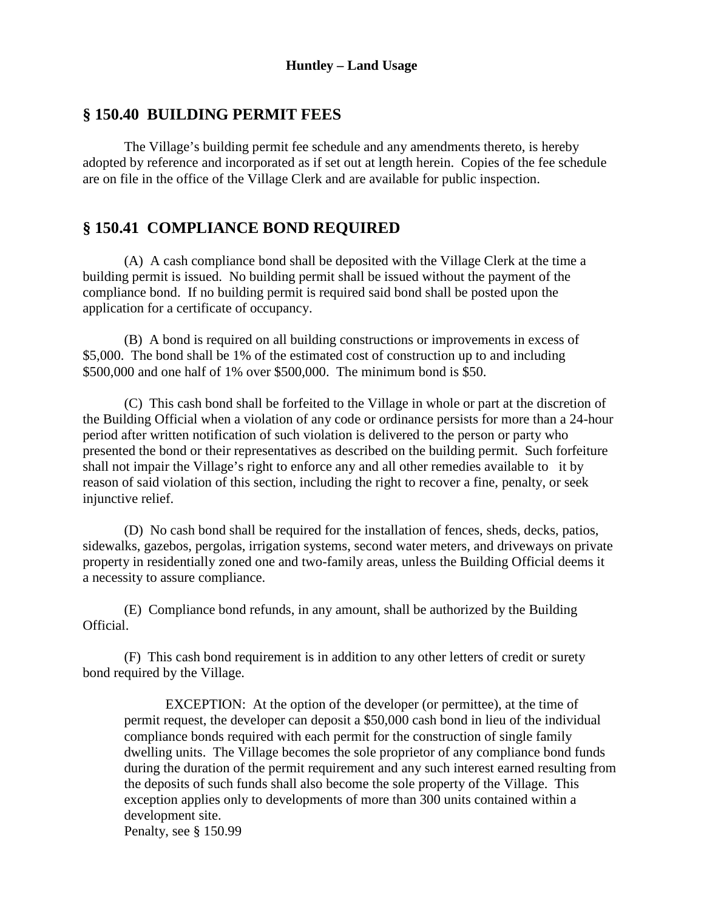## **§ 150.40 BUILDING PERMIT FEES**

The Village's building permit fee schedule and any amendments thereto, is hereby adopted by reference and incorporated as if set out at length herein. Copies of the fee schedule are on file in the office of the Village Clerk and are available for public inspection.

## **§ 150.41 COMPLIANCE BOND REQUIRED**

(A) A cash compliance bond shall be deposited with the Village Clerk at the time a building permit is issued. No building permit shall be issued without the payment of the compliance bond. If no building permit is required said bond shall be posted upon the application for a certificate of occupancy.

(B) A bond is required on all building constructions or improvements in excess of \$5,000. The bond shall be 1% of the estimated cost of construction up to and including \$500,000 and one half of 1% over \$500,000. The minimum bond is \$50.

(C) This cash bond shall be forfeited to the Village in whole or part at the discretion of the Building Official when a violation of any code or ordinance persists for more than a 24-hour period after written notification of such violation is delivered to the person or party who presented the bond or their representatives as described on the building permit. Such forfeiture shall not impair the Village's right to enforce any and all other remedies available to it by reason of said violation of this section, including the right to recover a fine, penalty, or seek injunctive relief.

(D) No cash bond shall be required for the installation of fences, sheds, decks, patios, sidewalks, gazebos, pergolas, irrigation systems, second water meters, and driveways on private property in residentially zoned one and two-family areas, unless the Building Official deems it a necessity to assure compliance.

(E) Compliance bond refunds, in any amount, shall be authorized by the Building Official.

(F) This cash bond requirement is in addition to any other letters of credit or surety bond required by the Village.

EXCEPTION: At the option of the developer (or permittee), at the time of permit request, the developer can deposit a \$50,000 cash bond in lieu of the individual compliance bonds required with each permit for the construction of single family dwelling units. The Village becomes the sole proprietor of any compliance bond funds during the duration of the permit requirement and any such interest earned resulting from the deposits of such funds shall also become the sole property of the Village. This exception applies only to developments of more than 300 units contained within a development site. Penalty, see § 150.99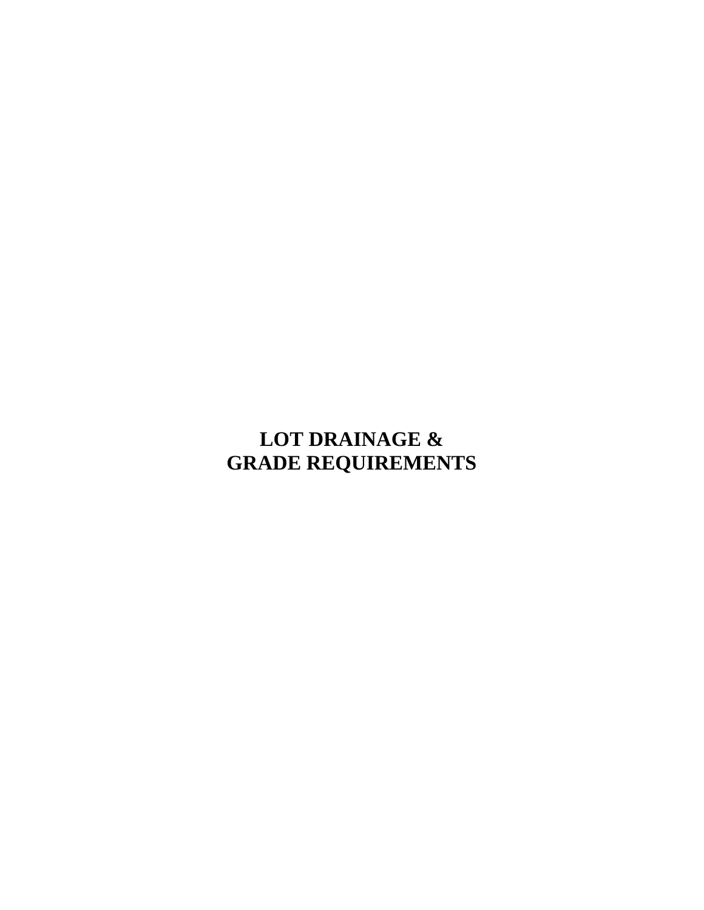# <span id="page-36-0"></span>**LOT DRAINAGE & GRADE REQUIREMENTS**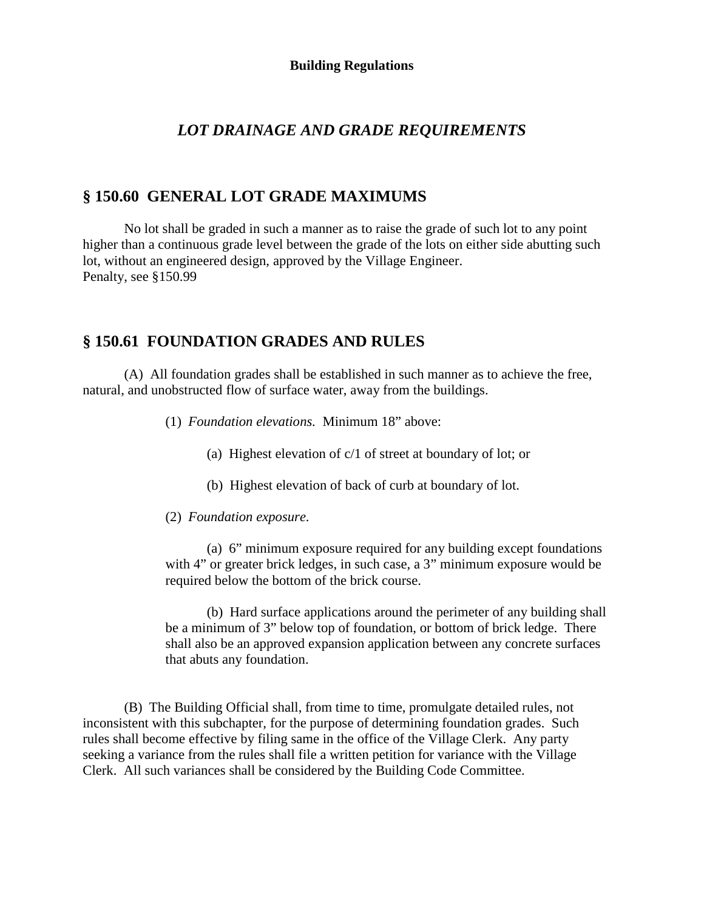#### **Building Regulations**

# *LOT DRAINAGE AND GRADE REQUIREMENTS*

## **§ 150.60 GENERAL LOT GRADE MAXIMUMS**

No lot shall be graded in such a manner as to raise the grade of such lot to any point higher than a continuous grade level between the grade of the lots on either side abutting such lot, without an engineered design, approved by the Village Engineer. Penalty, see §150.99

# **§ 150.61 FOUNDATION GRADES AND RULES**

(A) All foundation grades shall be established in such manner as to achieve the free, natural, and unobstructed flow of surface water, away from the buildings.

- (1) *Foundation elevations.* Minimum 18" above:
	- (a) Highest elevation of c/1 of street at boundary of lot; or
	- (b) Highest elevation of back of curb at boundary of lot.
- (2) *Foundation exposure.*

(a) 6" minimum exposure required for any building except foundations with 4" or greater brick ledges, in such case, a 3" minimum exposure would be required below the bottom of the brick course.

(b) Hard surface applications around the perimeter of any building shall be a minimum of 3" below top of foundation, or bottom of brick ledge. There shall also be an approved expansion application between any concrete surfaces that abuts any foundation.

(B) The Building Official shall, from time to time, promulgate detailed rules, not inconsistent with this subchapter, for the purpose of determining foundation grades. Such rules shall become effective by filing same in the office of the Village Clerk. Any party seeking a variance from the rules shall file a written petition for variance with the Village Clerk. All such variances shall be considered by the Building Code Committee.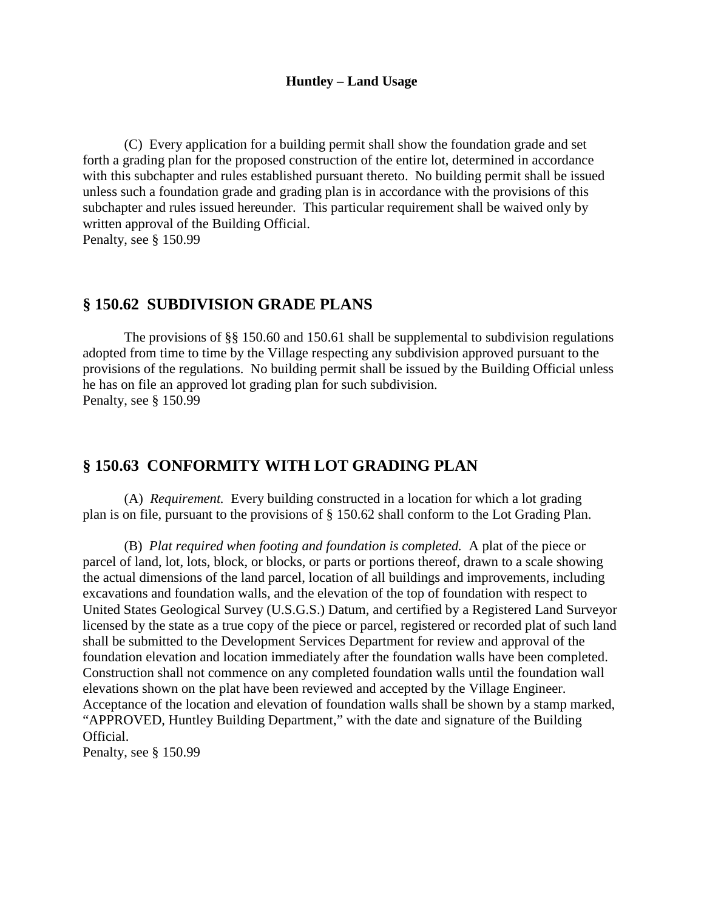#### **Huntley – Land Usage**

(C) Every application for a building permit shall show the foundation grade and set forth a grading plan for the proposed construction of the entire lot, determined in accordance with this subchapter and rules established pursuant thereto. No building permit shall be issued unless such a foundation grade and grading plan is in accordance with the provisions of this subchapter and rules issued hereunder. This particular requirement shall be waived only by written approval of the Building Official.

Penalty, see § 150.99

## **§ 150.62 SUBDIVISION GRADE PLANS**

The provisions of §§ 150.60 and 150.61 shall be supplemental to subdivision regulations adopted from time to time by the Village respecting any subdivision approved pursuant to the provisions of the regulations. No building permit shall be issued by the Building Official unless he has on file an approved lot grading plan for such subdivision. Penalty, see § 150.99

# **§ 150.63 CONFORMITY WITH LOT GRADING PLAN**

(A) *Requirement.* Every building constructed in a location for which a lot grading plan is on file, pursuant to the provisions of § 150.62 shall conform to the Lot Grading Plan.

(B) *Plat required when footing and foundation is completed.* A plat of the piece or parcel of land, lot, lots, block, or blocks, or parts or portions thereof, drawn to a scale showing the actual dimensions of the land parcel, location of all buildings and improvements, including excavations and foundation walls, and the elevation of the top of foundation with respect to United States Geological Survey (U.S.G.S.) Datum, and certified by a Registered Land Surveyor licensed by the state as a true copy of the piece or parcel, registered or recorded plat of such land shall be submitted to the Development Services Department for review and approval of the foundation elevation and location immediately after the foundation walls have been completed. Construction shall not commence on any completed foundation walls until the foundation wall elevations shown on the plat have been reviewed and accepted by the Village Engineer. Acceptance of the location and elevation of foundation walls shall be shown by a stamp marked, "APPROVED, Huntley Building Department," with the date and signature of the Building Official. Penalty, see § 150.99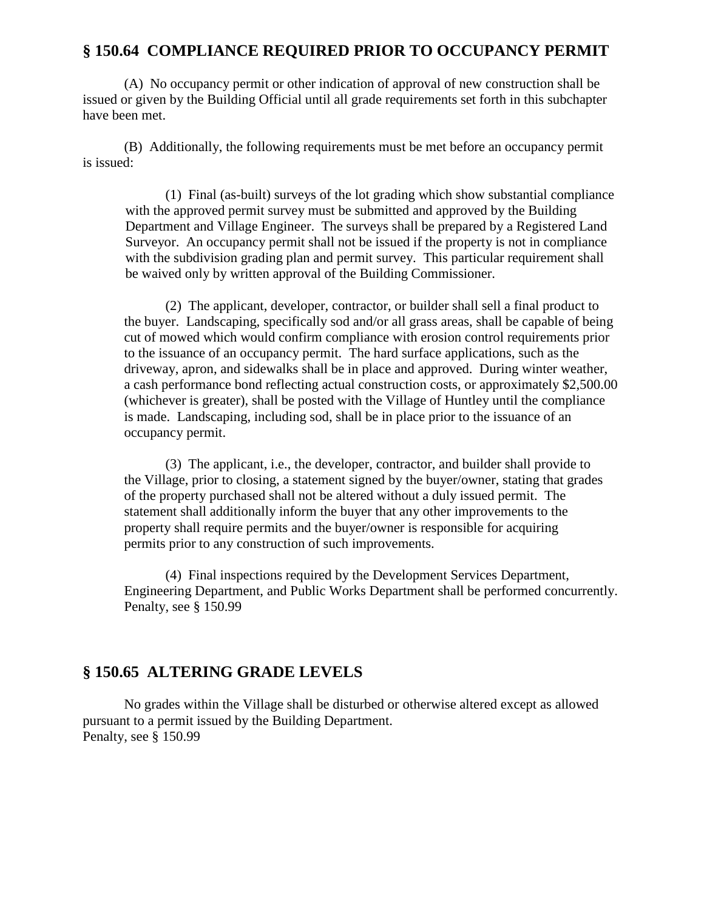# **§ 150.64 COMPLIANCE REQUIRED PRIOR TO OCCUPANCY PERMIT**

(A) No occupancy permit or other indication of approval of new construction shall be issued or given by the Building Official until all grade requirements set forth in this subchapter have been met.

(B) Additionally, the following requirements must be met before an occupancy permit is issued:

(1) Final (as-built) surveys of the lot grading which show substantial compliance with the approved permit survey must be submitted and approved by the Building Department and Village Engineer. The surveys shall be prepared by a Registered Land Surveyor. An occupancy permit shall not be issued if the property is not in compliance with the subdivision grading plan and permit survey. This particular requirement shall be waived only by written approval of the Building Commissioner.

(2) The applicant, developer, contractor, or builder shall sell a final product to the buyer. Landscaping, specifically sod and/or all grass areas, shall be capable of being cut of mowed which would confirm compliance with erosion control requirements prior to the issuance of an occupancy permit. The hard surface applications, such as the driveway, apron, and sidewalks shall be in place and approved. During winter weather, a cash performance bond reflecting actual construction costs, or approximately \$2,500.00 (whichever is greater), shall be posted with the Village of Huntley until the compliance is made. Landscaping, including sod, shall be in place prior to the issuance of an occupancy permit.

(3) The applicant, i.e., the developer, contractor, and builder shall provide to the Village, prior to closing, a statement signed by the buyer/owner, stating that grades of the property purchased shall not be altered without a duly issued permit. The statement shall additionally inform the buyer that any other improvements to the property shall require permits and the buyer/owner is responsible for acquiring permits prior to any construction of such improvements.

(4) Final inspections required by the Development Services Department, Engineering Department, and Public Works Department shall be performed concurrently. Penalty, see § 150.99

# **§ 150.65 ALTERING GRADE LEVELS**

No grades within the Village shall be disturbed or otherwise altered except as allowed pursuant to a permit issued by the Building Department. Penalty, see § 150.99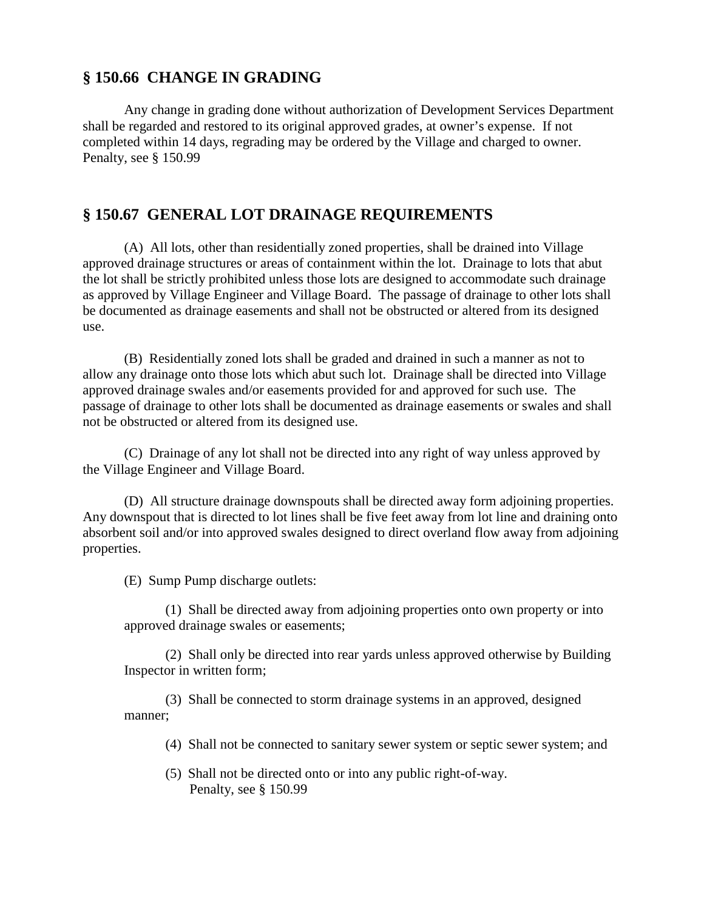# **§ 150.66 CHANGE IN GRADING**

Any change in grading done without authorization of Development Services Department shall be regarded and restored to its original approved grades, at owner's expense. If not completed within 14 days, regrading may be ordered by the Village and charged to owner. Penalty, see § 150.99

# **§ 150.67 GENERAL LOT DRAINAGE REQUIREMENTS**

(A) All lots, other than residentially zoned properties, shall be drained into Village approved drainage structures or areas of containment within the lot. Drainage to lots that abut the lot shall be strictly prohibited unless those lots are designed to accommodate such drainage as approved by Village Engineer and Village Board. The passage of drainage to other lots shall be documented as drainage easements and shall not be obstructed or altered from its designed use.

(B) Residentially zoned lots shall be graded and drained in such a manner as not to allow any drainage onto those lots which abut such lot. Drainage shall be directed into Village approved drainage swales and/or easements provided for and approved for such use. The passage of drainage to other lots shall be documented as drainage easements or swales and shall not be obstructed or altered from its designed use.

(C) Drainage of any lot shall not be directed into any right of way unless approved by the Village Engineer and Village Board.

(D) All structure drainage downspouts shall be directed away form adjoining properties. Any downspout that is directed to lot lines shall be five feet away from lot line and draining onto absorbent soil and/or into approved swales designed to direct overland flow away from adjoining properties.

(E) Sump Pump discharge outlets:

(1) Shall be directed away from adjoining properties onto own property or into approved drainage swales or easements;

(2) Shall only be directed into rear yards unless approved otherwise by Building Inspector in written form;

(3) Shall be connected to storm drainage systems in an approved, designed manner;

- (4) Shall not be connected to sanitary sewer system or septic sewer system; and
- (5) Shall not be directed onto or into any public right-of-way. Penalty, see § 150.99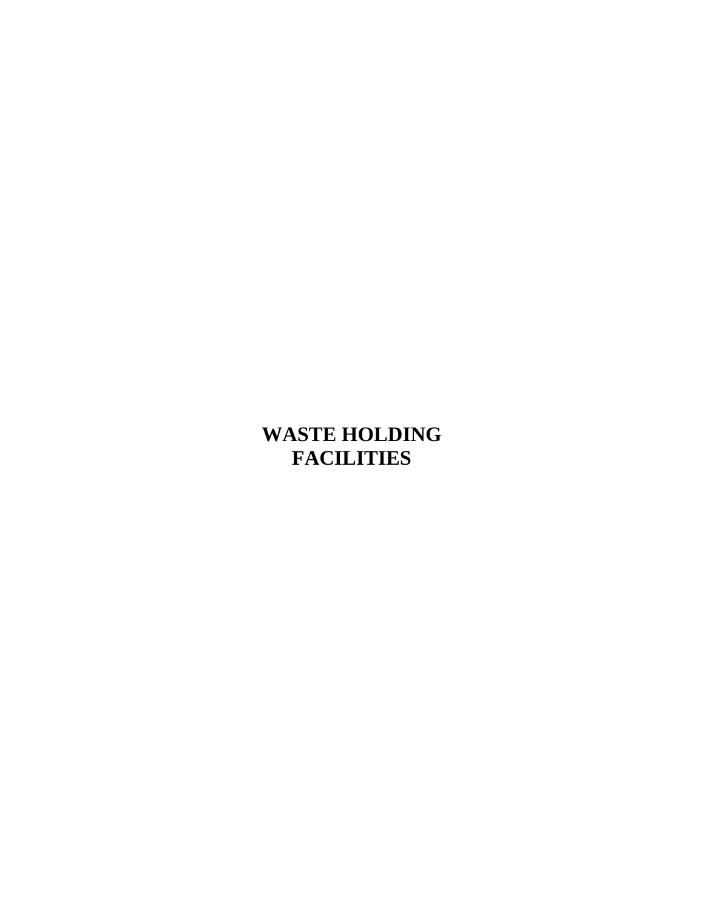# <span id="page-41-0"></span>**WASTE HOLDING FACILITIES**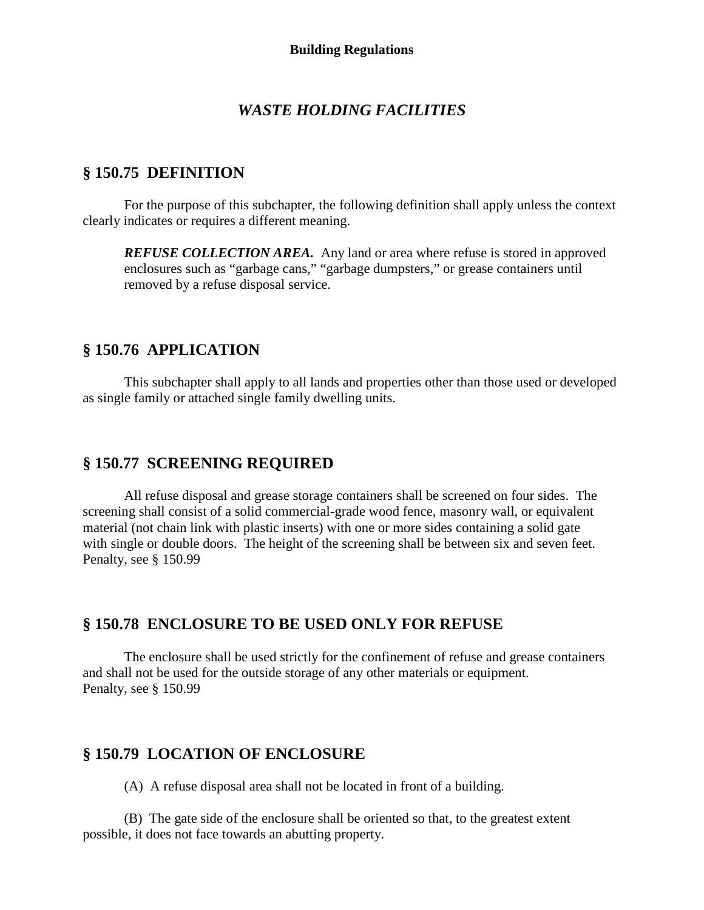# *WASTE HOLDING FACILITIES*

# **§ 150.75 DEFINITION**

For the purpose of this subchapter, the following definition shall apply unless the context clearly indicates or requires a different meaning.

*REFUSE COLLECTION AREA.* Any land or area where refuse is stored in approved enclosures such as "garbage cans," "garbage dumpsters," or grease containers until removed by a refuse disposal service.

# **§ 150.76 APPLICATION**

This subchapter shall apply to all lands and properties other than those used or developed as single family or attached single family dwelling units.

# **§ 150.77 SCREENING REQUIRED**

All refuse disposal and grease storage containers shall be screened on four sides. The screening shall consist of a solid commercial-grade wood fence, masonry wall, or equivalent material (not chain link with plastic inserts) with one or more sides containing a solid gate with single or double doors. The height of the screening shall be between six and seven feet. Penalty, see § 150.99

# **§ 150.78 ENCLOSURE TO BE USED ONLY FOR REFUSE**

The enclosure shall be used strictly for the confinement of refuse and grease containers and shall not be used for the outside storage of any other materials or equipment. Penalty, see § 150.99

# **§ 150.79 LOCATION OF ENCLOSURE**

(A) A refuse disposal area shall not be located in front of a building.

(B) The gate side of the enclosure shall be oriented so that, to the greatest extent possible, it does not face towards an abutting property.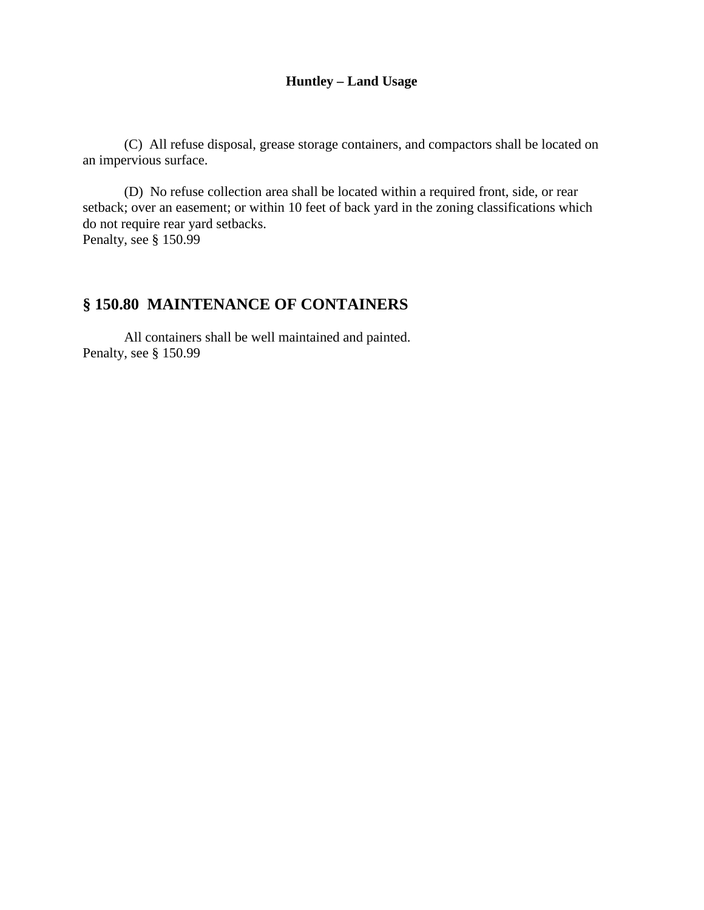## **Huntley – Land Usage**

(C) All refuse disposal, grease storage containers, and compactors shall be located on an impervious surface.

(D) No refuse collection area shall be located within a required front, side, or rear setback; over an easement; or within 10 feet of back yard in the zoning classifications which do not require rear yard setbacks. Penalty, see § 150.99

# **§ 150.80 MAINTENANCE OF CONTAINERS**

All containers shall be well maintained and painted. Penalty, see § 150.99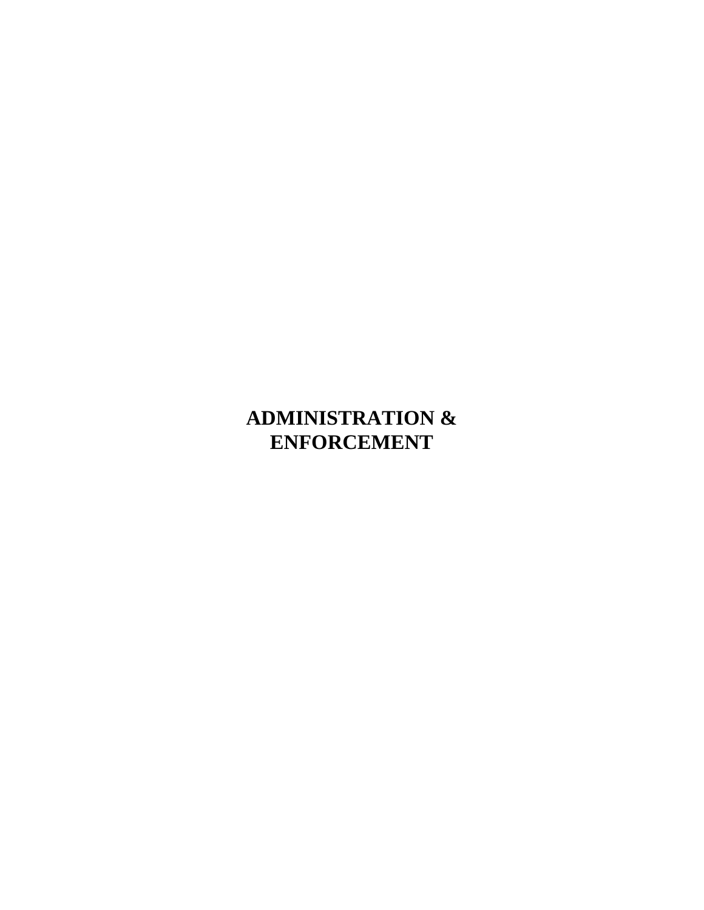# <span id="page-44-0"></span>**ADMINISTRATION & ENFORCEMENT**